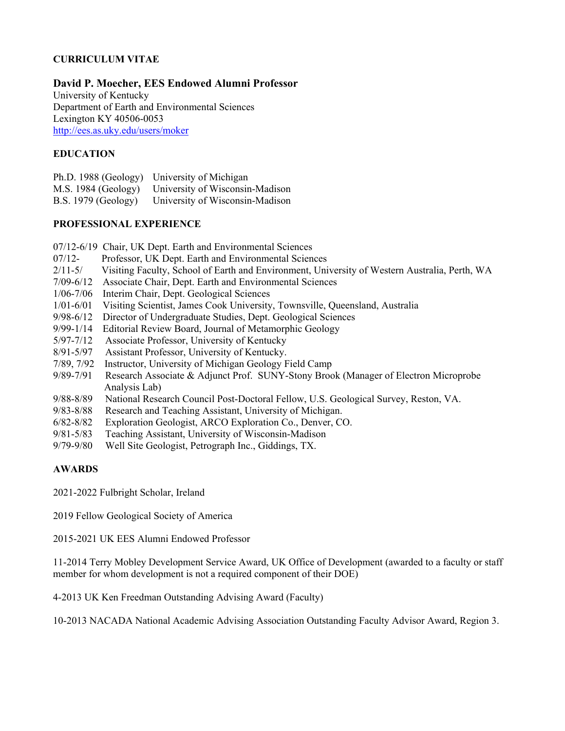# **CURRICULUM VITAE**

# **David P. Moecher, EES Endowed Alumni Professor**

University of Kentucky Department of Earth and Environmental Sciences Lexington KY 40506-0053 <http://ees.as.uky.edu/users/moker>

# **EDUCATION**

|                            | Ph.D. 1988 (Geology) University of Michigan         |
|----------------------------|-----------------------------------------------------|
|                            | M.S. 1984 (Geology) University of Wisconsin-Madison |
| <b>B.S.</b> 1979 (Geology) | University of Wisconsin-Madison                     |

# **PROFESSIONAL EXPERIENCE**

- 07/12-6/19 Chair, UK Dept. Earth and Environmental Sciences
- 07/12- Professor, UK Dept. Earth and Environmental Sciences
- 2/11-5/ Visiting Faculty, School of Earth and Environment, University of Western Australia, Perth, WA
- 7/09-6/12 Associate Chair, Dept. Earth and Environmental Sciences
- 1/06-7/06 Interim Chair, Dept. Geological Sciences
- 1/01-6/01 Visiting Scientist, James Cook University, Townsville, Queensland, Australia
- 9/98-6/12 Director of Undergraduate Studies, Dept. Geological Sciences
- 9/99-1/14 Editorial Review Board, Journal of Metamorphic Geology
- 5/97-7/12 Associate Professor, University of Kentucky
- 8/91-5/97 Assistant Professor, University of Kentucky.
- 7/89, 7/92 Instructor, University of Michigan Geology Field Camp
- 9/89-7/91 Research Associate & Adjunct Prof. SUNY-Stony Brook (Manager of Electron Microprobe Analysis Lab)
- 9/88-8/89 National Research Council Post-Doctoral Fellow, U.S. Geological Survey, Reston, VA.
- 9/83-8/88 Research and Teaching Assistant, University of Michigan.
- 6/82-8/82 Exploration Geologist, ARCO Exploration Co., Denver, CO.
- 9/81-5/83 Teaching Assistant, University of Wisconsin-Madison
- 9/79-9/80 Well Site Geologist, Petrograph Inc., Giddings, TX.

# **AWARDS**

2021-2022 Fulbright Scholar, Ireland

2019 Fellow Geological Society of America

2015-2021 UK EES Alumni Endowed Professor

11-2014 Terry Mobley Development Service Award, UK Office of Development (awarded to a faculty or staff member for whom development is not a required component of their DOE)

4-2013 UK Ken Freedman Outstanding Advising Award (Faculty)

10-2013 NACADA National Academic Advising Association Outstanding Faculty Advisor Award, Region 3.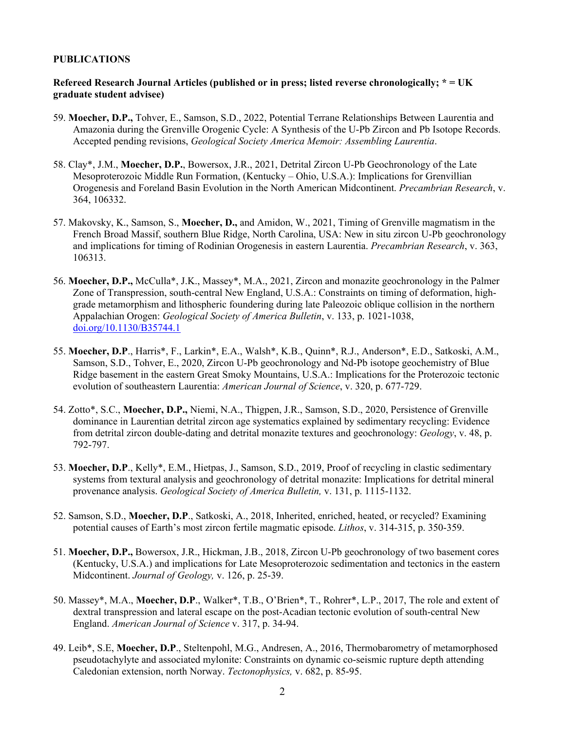# **PUBLICATIONS**

# **Refereed Research Journal Articles (published or in press; listed reverse chronologically; \* = UK graduate student advisee)**

- 59. **Moecher, D.P.,** Tohver, E., Samson, S.D., 2022, Potential Terrane Relationships Between Laurentia and Amazonia during the Grenville Orogenic Cycle: A Synthesis of the U-Pb Zircon and Pb Isotope Records. Accepted pending revisions, *Geological Society America Memoir: Assembling Laurentia*.
- 58. Clay\*, J.M., **Moecher, D.P.**, Bowersox, J.R., 2021, Detrital Zircon U-Pb Geochronology of the Late Mesoproterozoic Middle Run Formation, (Kentucky – Ohio, U.S.A.): Implications for Grenvillian Orogenesis and Foreland Basin Evolution in the North American Midcontinent. *Precambrian Research*, v. 364, 106332.
- 57. Makovsky, K., Samson, S., **Moecher, D.,** and Amidon, W., 2021, Timing of Grenville magmatism in the French Broad Massif, southern Blue Ridge, North Carolina, USA: New in situ zircon U-Pb geochronology and implications for timing of Rodinian Orogenesis in eastern Laurentia. *Precambrian Research*, v. 363, 106313.
- 56. **Moecher, D.P.,** McCulla\*, J.K., Massey\*, M.A., 2021, Zircon and monazite geochronology in the Palmer Zone of Transpression, south-central New England, U.S.A.: Constraints on timing of deformation, highgrade metamorphism and lithospheric foundering during late Paleozoic oblique collision in the northern Appalachian Orogen: *Geological Society of America Bulletin*, v. 133, p. 1021-1038, [doi.org/10.1130/B35744.1](https://doi.org/10.1130/B35744.1)
- 55. **Moecher, D.P**., Harris\*, F., Larkin\*, E.A., Walsh\*, K.B., Quinn\*, R.J., Anderson\*, E.D., Satkoski, A.M., Samson, S.D., Tohver, E., 2020, Zircon U-Pb geochronology and Nd-Pb isotope geochemistry of Blue Ridge basement in the eastern Great Smoky Mountains, U.S.A.: Implications for the Proterozoic tectonic evolution of southeastern Laurentia: *American Journal of Science*, v. 320, p. 677-729.
- 54. Zotto\*, S.C., **Moecher, D.P.,** Niemi, N.A., Thigpen, J.R., Samson, S.D., 2020, Persistence of Grenville dominance in Laurentian detrital zircon age systematics explained by sedimentary recycling: Evidence from detrital zircon double-dating and detrital monazite textures and geochronology: *Geology*, v. 48, p. 792-797.
- 53. **Moecher, D.P**., Kelly\*, E.M., Hietpas, J., Samson, S.D., 2019, Proof of recycling in clastic sedimentary systems from textural analysis and geochronology of detrital monazite: Implications for detrital mineral provenance analysis. *Geological Society of America Bulletin,* v. 131, p. 1115-1132.
- 52. Samson, S.D., **Moecher, D.P**., Satkoski, A., 2018, Inherited, enriched, heated, or recycled? Examining potential causes of Earth's most zircon fertile magmatic episode. *Lithos*, v. 314-315, p. 350-359.
- 51. **Moecher, D.P.,** Bowersox, J.R., Hickman, J.B., 2018, Zircon U-Pb geochronology of two basement cores (Kentucky, U.S.A.) and implications for Late Mesoproterozoic sedimentation and tectonics in the eastern Midcontinent. *Journal of Geology,* v. 126, p. 25-39.
- 50. Massey\*, M.A., **Moecher, D.P**., Walker\*, T.B., O'Brien\*, T., Rohrer\*, L.P., 2017, The role and extent of dextral transpression and lateral escape on the post-Acadian tectonic evolution of south-central New England. *American Journal of Science* v. 317, p. 34-94.
- 49. Leib\*, S.E, **Moecher, D.P**., Steltenpohl, M.G., Andresen, A., 2016, Thermobarometry of metamorphosed pseudotachylyte and associated mylonite: Constraints on dynamic co-seismic rupture depth attending Caledonian extension, north Norway. *Tectonophysics,* v. 682, p. 85-95.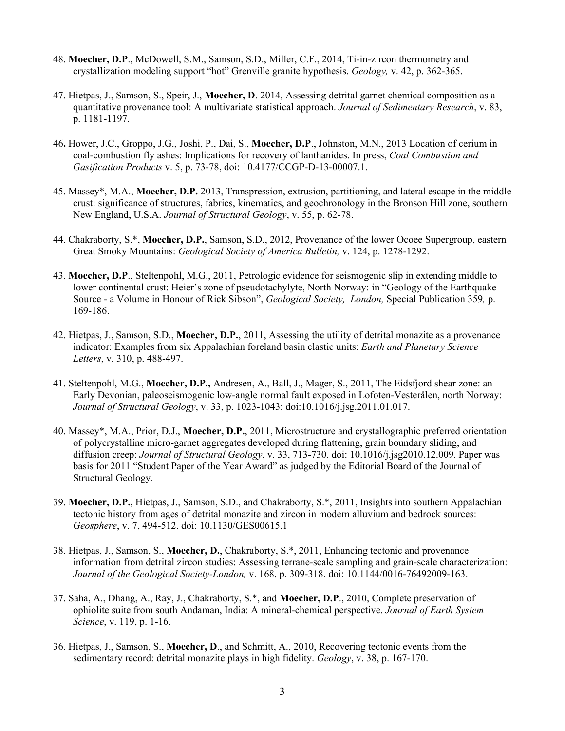- 48. **Moecher, D.P**., McDowell, S.M., Samson, S.D., Miller, C.F., 2014, Ti-in-zircon thermometry and crystallization modeling support "hot" Grenville granite hypothesis. *Geology,* v. 42, p. 362-365.
- 47. Hietpas, J., Samson, S., Speir, J., **Moecher, D**. 2014, Assessing detrital garnet chemical composition as a quantitative provenance tool: A multivariate statistical approach. *Journal of Sedimentary Research*, v. 83, p. 1181-1197.
- 46**.** Hower, J.C., Groppo, J.G., Joshi, P., Dai, S., **Moecher, D.P**., Johnston, M.N., 2013 Location of cerium in coal-combustion fly ashes: Implications for recovery of lanthanides. In press, *Coal Combustion and Gasification Products* v. 5, p. 73-78, doi: 10.4177/CCGP-D-13-00007.1.
- 45. Massey\*, M.A., **Moecher, D.P.** 2013, Transpression, extrusion, partitioning, and lateral escape in the middle crust: significance of structures, fabrics, kinematics, and geochronology in the Bronson Hill zone, southern New England, U.S.A. *Journal of Structural Geology*, v. 55, p. 62-78.
- 44. Chakraborty, S.\*, **Moecher, D.P.**, Samson, S.D., 2012, Provenance of the lower Ocoee Supergroup, eastern Great Smoky Mountains: *Geological Society of America Bulletin,* v. 124, p. 1278-1292.
- 43. **Moecher, D.P**., Steltenpohl, M.G., 2011, Petrologic evidence for seismogenic slip in extending middle to lower continental crust: Heier's zone of pseudotachylyte, North Norway: in "Geology of the Earthquake Source - a Volume in Honour of Rick Sibson", *Geological Society, London,* Special Publication 359*,* p. 169-186.
- 42. Hietpas, J., Samson, S.D., **Moecher, D.P.**, 2011, Assessing the utility of detrital monazite as a provenance indicator: Examples from six Appalachian foreland basin clastic units: *Earth and Planetary Science Letters*, v. 310, p. 488-497.
- 41. Steltenpohl, M.G., **Moecher, D.P.,** Andresen, A., Ball, J., Mager, S., 2011, The Eidsfjord shear zone: an Early Devonian, paleoseismogenic low-angle normal fault exposed in Lofoten-Vesterålen, north Norway: *Journal of Structural Geology*, v. 33, p. 1023-1043: doi:10.1016/j.jsg.2011.01.017.
- 40. Massey\*, M.A., Prior, D.J., **Moecher, D.P.**, 2011, Microstructure and crystallographic preferred orientation of polycrystalline micro-garnet aggregates developed during flattening, grain boundary sliding, and diffusion creep: *Journal of Structural Geology*, v. 33, 713-730. doi: 10.1016/j.jsg2010.12.009. Paper was basis for 2011 "Student Paper of the Year Award" as judged by the Editorial Board of the Journal of Structural Geology.
- 39. **Moecher, D.P.,** Hietpas, J., Samson, S.D., and Chakraborty, S.\*, 2011, Insights into southern Appalachian tectonic history from ages of detrital monazite and zircon in modern alluvium and bedrock sources: *Geosphere*, v. 7, 494-512. doi: 10.1130/GES00615.1
- 38. Hietpas, J., Samson, S., **Moecher, D.**, Chakraborty, S.\*, 2011, Enhancing tectonic and provenance information from detrital zircon studies: Assessing terrane-scale sampling and grain-scale characterization: *Journal of the Geological Society-London,* v. 168, p. 309-318. doi: 10.1144/0016-76492009-163.
- 37. Saha, A., Dhang, A., Ray, J., Chakraborty, S.\*, and **Moecher, D.P**., 2010, Complete preservation of ophiolite suite from south Andaman, India: A mineral-chemical perspective. *Journal of Earth System Science*, v. 119, p. 1-16.
- 36. Hietpas, J., Samson, S., **Moecher, D**., and Schmitt, A., 2010, Recovering tectonic events from the sedimentary record: detrital monazite plays in high fidelity. *Geology*, v. 38, p. 167-170.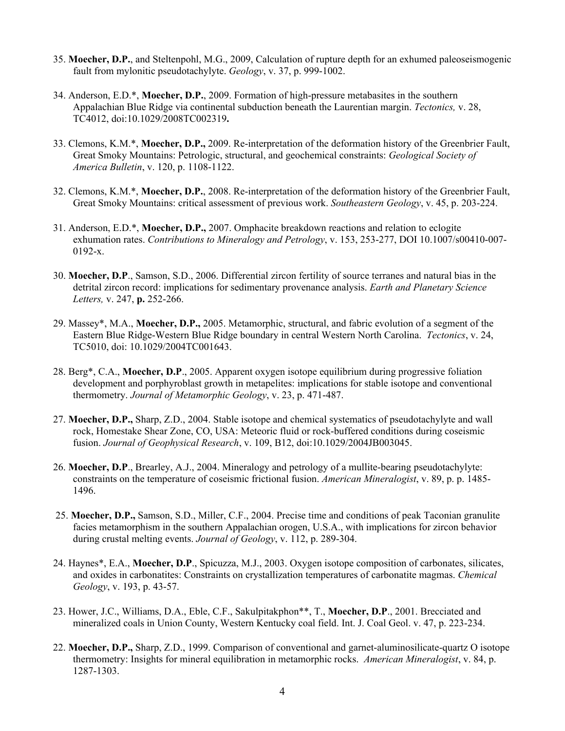- 35. **Moecher, D.P.**, and Steltenpohl, M.G., 2009, Calculation of rupture depth for an exhumed paleoseismogenic fault from mylonitic pseudotachylyte. *Geology*, v. 37, p. 999-1002.
- 34. Anderson, E.D.\*, **Moecher, D.P.**, 2009. Formation of high-pressure metabasites in the southern Appalachian Blue Ridge via continental subduction beneath the Laurentian margin. *Tectonics,* v. 28, TC4012, doi:10.1029/2008TC002319**.**
- 33. Clemons, K.M.\*, **Moecher, D.P.,** 2009. Re-interpretation of the deformation history of the Greenbrier Fault, Great Smoky Mountains: Petrologic, structural, and geochemical constraints: *Geological Society of America Bulletin*, v. 120, p. 1108-1122.
- 32. Clemons, K.M.\*, **Moecher, D.P.**, 2008. Re-interpretation of the deformation history of the Greenbrier Fault, Great Smoky Mountains: critical assessment of previous work. *Southeastern Geology*, v. 45, p. 203-224.
- 31. Anderson, E.D.\*, **Moecher, D.P.,** 2007. Omphacite breakdown reactions and relation to eclogite exhumation rates. *Contributions to Mineralogy and Petrology*, v. 153, 253-277, DOI 10.1007/s00410-007- 0192-x.
- 30. **Moecher, D.P**., Samson, S.D., 2006. Differential zircon fertility of source terranes and natural bias in the detrital zircon record: implications for sedimentary provenance analysis. *Earth and Planetary Science Letters,* v. 247, **p.** 252-266.
- 29. Massey\*, M.A., **Moecher, D.P.,** 2005. Metamorphic, structural, and fabric evolution of a segment of the Eastern Blue Ridge-Western Blue Ridge boundary in central Western North Carolina. *Tectonics*, v. 24, TC5010, doi: 10.1029/2004TC001643.
- 28. Berg\*, C.A., **Moecher, D.P**., 2005. Apparent oxygen isotope equilibrium during progressive foliation development and porphyroblast growth in metapelites: implications for stable isotope and conventional thermometry. *Journal of Metamorphic Geology*, v. 23, p. 471-487.
- 27. **Moecher, D.P.,** Sharp, Z.D., 2004. Stable isotope and chemical systematics of pseudotachylyte and wall rock, Homestake Shear Zone, CO, USA: Meteoric fluid or rock-buffered conditions during coseismic fusion. *Journal of Geophysical Research*, v. 109, B12, doi:10.1029/2004JB003045.
- 26. **Moecher, D.P**., Brearley, A.J., 2004. Mineralogy and petrology of a mullite-bearing pseudotachylyte: constraints on the temperature of coseismic frictional fusion. *American Mineralogist*, v. 89, p. p. 1485- 1496.
- 25. **Moecher, D.P.,** Samson, S.D., Miller, C.F., 2004. Precise time and conditions of peak Taconian granulite facies metamorphism in the southern Appalachian orogen, U.S.A., with implications for zircon behavior during crustal melting events. *Journal of Geology*, v. 112, p. 289-304.
- 24. Haynes\*, E.A., **Moecher, D.P**., Spicuzza, M.J., 2003. Oxygen isotope composition of carbonates, silicates, and oxides in carbonatites: Constraints on crystallization temperatures of carbonatite magmas. *Chemical Geology*, v. 193, p. 43-57.
- 23. Hower, J.C., Williams, D.A., Eble, C.F., Sakulpitakphon\*\*, T., **Moecher, D.P**., 2001. Brecciated and mineralized coals in Union County, Western Kentucky coal field. Int. J. Coal Geol. v. 47, p. 223-234.
- 22. **Moecher, D.P.,** Sharp, Z.D., 1999. Comparison of conventional and garnet-aluminosilicate-quartz O isotope thermometry: Insights for mineral equilibration in metamorphic rocks. *American Mineralogist*, v. 84, p. 1287-1303.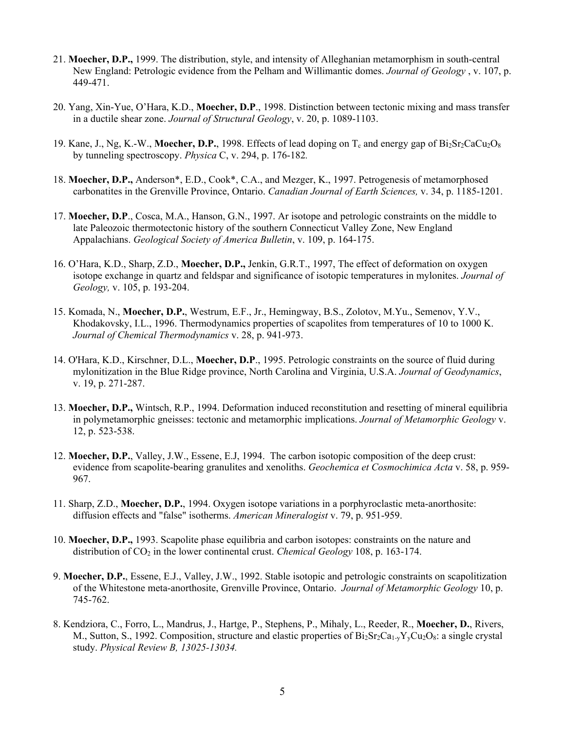- 21. **Moecher, D.P.,** 1999. The distribution, style, and intensity of Alleghanian metamorphism in south-central New England: Petrologic evidence from the Pelham and Willimantic domes. *Journal of Geology* , v. 107, p. 449-471.
- 20. Yang, Xin-Yue, O'Hara, K.D., **Moecher, D.P**., 1998. Distinction between tectonic mixing and mass transfer in a ductile shear zone. *Journal of Structural Geology*, v. 20, p. 1089-1103.
- 19. Kane, J., Ng, K.-W., **Moecher, D.P.**, 1998. Effects of lead doping on  $T_c$  and energy gap of  $Bi_2Sr_2CaCu_2O_8$ by tunneling spectroscopy. *Physica* C, v. 294, p. 176-182*.*
- 18. **Moecher, D.P.,** Anderson\*, E.D., Cook\*, C.A., and Mezger, K., 1997. Petrogenesis of metamorphosed carbonatites in the Grenville Province, Ontario. *Canadian Journal of Earth Sciences,* v. 34, p. 1185-1201.
- 17. **Moecher, D.P**., Cosca, M.A., Hanson, G.N., 1997. Ar isotope and petrologic constraints on the middle to late Paleozoic thermotectonic history of the southern Connecticut Valley Zone, New England Appalachians. *Geological Society of America Bulletin*, v. 109, p. 164-175.
- 16. O'Hara, K.D., Sharp, Z.D., **Moecher, D.P.,** Jenkin, G.R.T., 1997, The effect of deformation on oxygen isotope exchange in quartz and feldspar and significance of isotopic temperatures in mylonites. *Journal of Geology,* v. 105, p. 193-204.
- 15. Komada, N., **Moecher, D.P.**, Westrum, E.F., Jr., Hemingway, B.S., Zolotov, M.Yu., Semenov, Y.V., Khodakovsky, I.L., 1996. Thermodynamics properties of scapolites from temperatures of 10 to 1000 K. *Journal of Chemical Thermodynamics* v. 28, p. 941-973.
- 14. O'Hara, K.D., Kirschner, D.L., **Moecher, D.P**., 1995. Petrologic constraints on the source of fluid during mylonitization in the Blue Ridge province, North Carolina and Virginia, U.S.A. *Journal of Geodynamics*, v. 19, p. 271-287.
- 13. **Moecher, D.P.,** Wintsch, R.P., 1994. Deformation induced reconstitution and resetting of mineral equilibria in polymetamorphic gneisses: tectonic and metamorphic implications. *Journal of Metamorphic Geology* v. 12, p. 523-538.
- 12. **Moecher, D.P.**, Valley, J.W., Essene, E.J, 1994. The carbon isotopic composition of the deep crust: evidence from scapolite-bearing granulites and xenoliths. *Geochemica et Cosmochimica Acta* v. 58, p. 959- 967.
- 11. Sharp, Z.D., **Moecher, D.P.**, 1994. Oxygen isotope variations in a porphyroclastic meta-anorthosite: diffusion effects and "false" isotherms. *American Mineralogist* v. 79, p. 951-959.
- 10. **Moecher, D.P.,** 1993. Scapolite phase equilibria and carbon isotopes: constraints on the nature and distribution of CO2 in the lower continental crust. *Chemical Geology* 108, p. 163-174.
- 9. **Moecher, D.P.**, Essene, E.J., Valley, J.W., 1992. Stable isotopic and petrologic constraints on scapolitization of the Whitestone meta-anorthosite, Grenville Province, Ontario. *Journal of Metamorphic Geology* 10, p. 745-762.
- 8. Kendziora, C., Forro, L., Mandrus, J., Hartge, P., Stephens, P., Mihaly, L., Reeder, R., **Moecher, D.**, Rivers, M., Sutton, S., 1992. Composition, structure and elastic properties of  $Bi_2Sr_2Ca_{1}V_3Cu_2O_8$ : a single crystal study. *Physical Review B, 13025-13034.*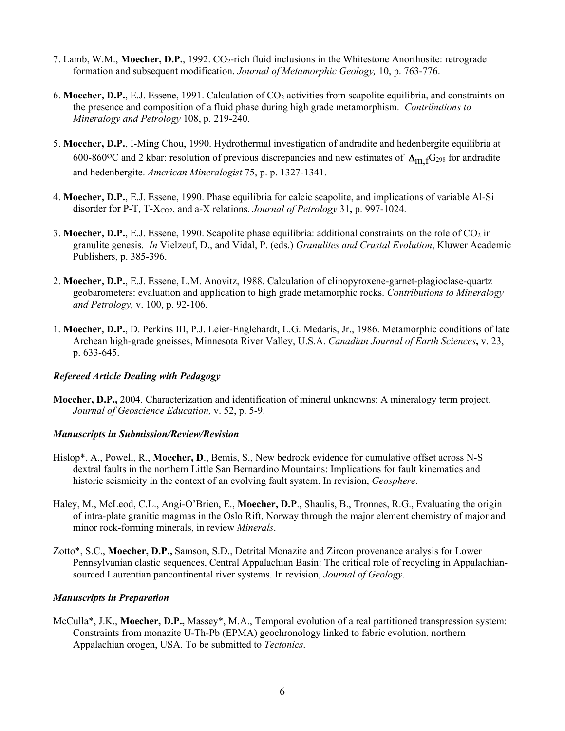- 7. Lamb, W.M., **Moecher, D.P.**, 1992. CO<sub>2</sub>-rich fluid inclusions in the Whitestone Anorthosite: retrograde formation and subsequent modification. *Journal of Metamorphic Geology,* 10, p. 763-776.
- 6. **Moecher, D.P.**, E.J. Essene, 1991. Calculation of CO2 activities from scapolite equilibria, and constraints on the presence and composition of a fluid phase during high grade metamorphism. *Contributions to Mineralogy and Petrology* 108, p. 219-240.
- 5. **Moecher, D.P.**, I-Ming Chou, 1990. Hydrothermal investigation of andradite and hedenbergite equilibria at 600-860<sup>o</sup>C and 2 kbar: resolution of previous discrepancies and new estimates of  $\Delta_{m,f}G_{298}$  for andradite and hedenbergite. *American Mineralogist* 75, p. p. 1327-1341.
- 4. **Moecher, D.P.**, E.J. Essene, 1990. Phase equilibria for calcic scapolite, and implications of variable Al-Si disorder for P-T, T-X<sub>CO2</sub>, and a-X relations. *Journal of Petrology* 31, p. 997-1024.
- 3. **Moecher, D.P.**, E.J. Essene, 1990. Scapolite phase equilibria: additional constraints on the role of CO<sub>2</sub> in granulite genesis. *In* Vielzeuf, D., and Vidal, P. (eds.) *Granulites and Crustal Evolution*, Kluwer Academic Publishers, p. 385-396.
- 2. **Moecher, D.P.**, E.J. Essene, L.M. Anovitz, 1988. Calculation of clinopyroxene-garnet-plagioclase-quartz geobarometers: evaluation and application to high grade metamorphic rocks. *Contributions to Mineralogy and Petrology,* v. 100, p. 92-106.
- 1. **Moecher, D.P.**, D. Perkins III, P.J. Leier-Englehardt, L.G. Medaris, Jr., 1986. Metamorphic conditions of late Archean high-grade gneisses, Minnesota River Valley, U.S.A. *Canadian Journal of Earth Sciences***,** v. 23, p. 633-645.

## *Refereed Article Dealing with Pedagogy*

**Moecher, D.P.,** 2004. Characterization and identification of mineral unknowns: A mineralogy term project. *Journal of Geoscience Education,* v. 52, p. 5-9.

## *Manuscripts in Submission/Review/Revision*

- Hislop\*, A., Powell, R., **Moecher, D**., Bemis, S., New bedrock evidence for cumulative offset across N-S dextral faults in the northern Little San Bernardino Mountains: Implications for fault kinematics and historic seismicity in the context of an evolving fault system. In revision, *Geosphere*.
- Haley, M., McLeod, C.L., Angi-O'Brien, E., **Moecher, D.P**., Shaulis, B., Tronnes, R.G., Evaluating the origin of intra-plate granitic magmas in the Oslo Rift, Norway through the major element chemistry of major and minor rock-forming minerals, in review *Minerals*.
- Zotto\*, S.C., **Moecher, D.P.,** Samson, S.D., Detrital Monazite and Zircon provenance analysis for Lower Pennsylvanian clastic sequences, Central Appalachian Basin: The critical role of recycling in Appalachiansourced Laurentian pancontinental river systems. In revision, *Journal of Geology*.

## *Manuscripts in Preparation*

McCulla\*, J.K., **Moecher, D.P.,** Massey\*, M.A., Temporal evolution of a real partitioned transpression system: Constraints from monazite U-Th-Pb (EPMA) geochronology linked to fabric evolution, northern Appalachian orogen, USA. To be submitted to *Tectonics*.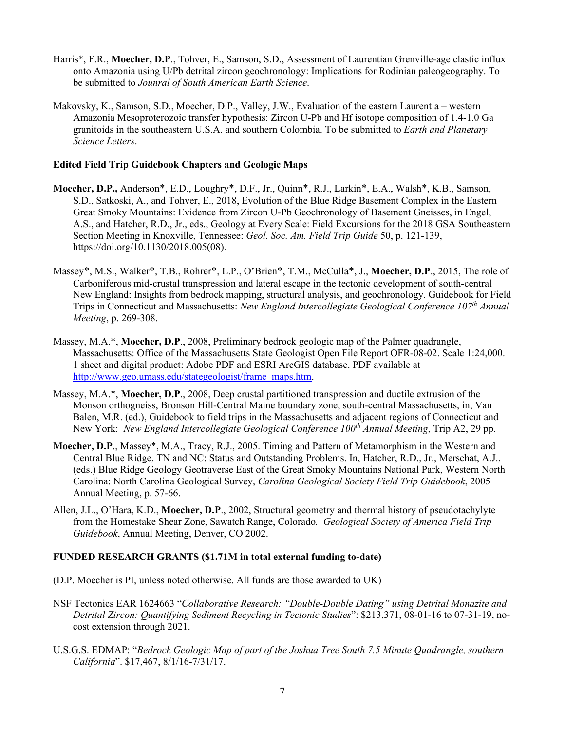- Harris\*, F.R., **Moecher, D.P**., Tohver, E., Samson, S.D., Assessment of Laurentian Grenville-age clastic influx onto Amazonia using U/Pb detrital zircon geochronology: Implications for Rodinian paleogeography. To be submitted to *Jounral of South American Earth Science*.
- Makovsky, K., Samson, S.D., Moecher, D.P., Valley, J.W., Evaluation of the eastern Laurentia western Amazonia Mesoproterozoic transfer hypothesis: Zircon U-Pb and Hf isotope composition of 1.4-1.0 Ga granitoids in the southeastern U.S.A. and southern Colombia. To be submitted to *Earth and Planetary Science Letters*.

## **Edited Field Trip Guidebook Chapters and Geologic Maps**

- **Moecher, D.P.,** Anderson\*, E.D., Loughry\*, D.F., Jr., Quinn\*, R.J., Larkin\*, E.A., Walsh\*, K.B., Samson, S.D., Satkoski, A., and Tohver, E., 2018, Evolution of the Blue Ridge Basement Complex in the Eastern Great Smoky Mountains: Evidence from Zircon U-Pb Geochronology of Basement Gneisses, in Engel, A.S., and Hatcher, R.D., Jr., eds., Geology at Every Scale: Field Excursions for the 2018 GSA Southeastern Section Meeting in Knoxville, Tennessee: *Geol. Soc. Am. Field Trip Guide* 50, p. 121-139, https://doi.org/10.1130/2018.005(08).
- Massey\*, M.S., Walker\*, T.B., Rohrer\*, L.P., O'Brien\*, T.M., McCulla\*, J., **Moecher, D.P**., 2015, The role of Carboniferous mid-crustal transpression and lateral escape in the tectonic development of south-central New England: Insights from bedrock mapping, structural analysis, and geochronology. Guidebook for Field Trips in Connecticut and Massachusetts: *New England Intercollegiate Geological Conference 107th Annual Meeting*, p. 269-308.
- Massey, M.A.\*, **Moecher, D.P**., 2008, Preliminary bedrock geologic map of the Palmer quadrangle, Massachusetts: Office of the Massachusetts State Geologist Open File Report OFR-08-02. Scale 1:24,000. 1 sheet and digital product: Adobe PDF and ESRI ArcGIS database. PDF available at [http://www.geo.umass.edu/stategeologist/frame\\_maps.htm.](http://www.geo.umass.edu/stategeologist/frame_maps.htm)
- Massey, M.A.\*, **Moecher, D.P**., 2008, Deep crustal partitioned transpression and ductile extrusion of the Monson orthogneiss, Bronson Hill-Central Maine boundary zone, south-central Massachusetts, in, Van Balen, M.R. (ed.), Guidebook to field trips in the Massachusetts and adjacent regions of Connecticut and New York: *New England Intercollegiate Geological Conference 100th Annual Meeting*, Trip A2, 29 pp.
- **Moecher, D.P**., Massey\*, M.A., Tracy, R.J., 2005. Timing and Pattern of Metamorphism in the Western and Central Blue Ridge, TN and NC: Status and Outstanding Problems. In, Hatcher, R.D., Jr., Merschat, A.J., (eds.) Blue Ridge Geology Geotraverse East of the Great Smoky Mountains National Park, Western North Carolina: North Carolina Geological Survey, *Carolina Geological Society Field Trip Guidebook*, 2005 Annual Meeting, p. 57-66.
- Allen, J.L., O'Hara, K.D., **Moecher, D.P**., 2002, Structural geometry and thermal history of pseudotachylyte from the Homestake Shear Zone, Sawatch Range, Colorado*. Geological Society of America Field Trip Guidebook*, Annual Meeting, Denver, CO 2002.

# **FUNDED RESEARCH GRANTS (\$1.71M in total external funding to-date)**

- (D.P. Moecher is PI, unless noted otherwise. All funds are those awarded to UK)
- NSF Tectonics EAR 1624663 "*Collaborative Research: "Double-Double Dating" using Detrital Monazite and Detrital Zircon: Quantifying Sediment Recycling in Tectonic Studies*": \$213,371, 08-01-16 to 07-31-19, nocost extension through 2021.
- U.S.G.S. EDMAP: "*Bedrock Geologic Map of part of the Joshua Tree South 7.5 Minute Quadrangle, southern California*". \$17,467, 8/1/16-7/31/17.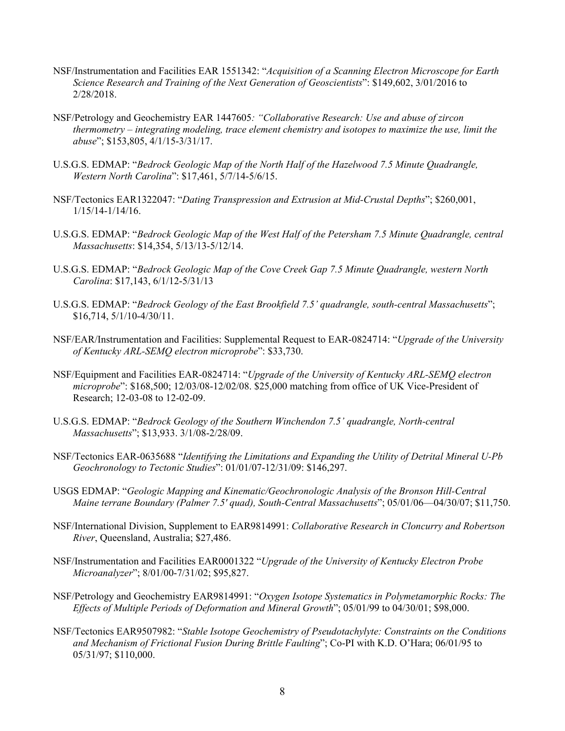- NSF/Instrumentation and Facilities EAR 1551342: "*Acquisition of a Scanning Electron Microscope for Earth Science Research and Training of the Next Generation of Geoscientists*": \$149,602, 3/01/2016 to 2/28/2018.
- NSF/Petrology and Geochemistry EAR 1447605*: "Collaborative Research: Use and abuse of zircon thermometry – integrating modeling, trace element chemistry and isotopes to maximize the use, limit the abuse*"; \$153,805, 4/1/15-3/31/17.
- U.S.G.S. EDMAP: "*Bedrock Geologic Map of the North Half of the Hazelwood 7.5 Minute Quadrangle, Western North Carolina*": \$17,461, 5/7/14-5/6/15.
- NSF/Tectonics EAR1322047: "*Dating Transpression and Extrusion at Mid-Crustal Depths*"; \$260,001, 1/15/14-1/14/16.
- U.S.G.S. EDMAP: "*Bedrock Geologic Map of the West Half of the Petersham 7.5 Minute Quadrangle, central Massachusetts*: \$14,354, 5/13/13-5/12/14.
- U.S.G.S. EDMAP: "*Bedrock Geologic Map of the Cove Creek Gap 7.5 Minute Quadrangle, western North Carolina*: \$17,143, 6/1/12-5/31/13
- U.S.G.S. EDMAP: "*Bedrock Geology of the East Brookfield 7.5' quadrangle, south-central Massachusetts*"; \$16,714, 5/1/10-4/30/11.
- NSF/EAR/Instrumentation and Facilities: Supplemental Request to EAR-0824714: "*Upgrade of the University of Kentucky ARL-SEMQ electron microprobe*": \$33,730.
- NSF/Equipment and Facilities EAR-0824714: "*Upgrade of the University of Kentucky ARL-SEMQ electron microprobe*": \$168,500; 12/03/08-12/02/08. \$25,000 matching from office of UK Vice-President of Research; 12-03-08 to 12-02-09.
- U.S.G.S. EDMAP: "*Bedrock Geology of the Southern Winchendon 7.5' quadrangle, North-central Massachusetts*"; \$13,933. 3/1/08-2/28/09.
- NSF/Tectonics EAR-0635688 "*Identifying the Limitations and Expanding the Utility of Detrital Mineral U-Pb Geochronology to Tectonic Studies*": 01/01/07-12/31/09: \$146,297.
- USGS EDMAP: "*Geologic Mapping and Kinematic/Geochronologic Analysis of the Bronson Hill-Central Maine terrane Boundary (Palmer 7.5' quad), South-Central Massachusetts*"; 05/01/06—04/30/07; \$11,750.
- NSF/International Division, Supplement to EAR9814991: *Collaborative Research in Cloncurry and Robertson River*, Queensland, Australia; \$27,486.
- NSF/Instrumentation and Facilities EAR0001322 "*Upgrade of the University of Kentucky Electron Probe Microanalyzer*"; 8/01/00-7/31/02; \$95,827.
- NSF/Petrology and Geochemistry EAR9814991: "*Oxygen Isotope Systematics in Polymetamorphic Rocks: The Effects of Multiple Periods of Deformation and Mineral Growth*"; 05/01/99 to 04/30/01; \$98,000.
- NSF/Tectonics EAR9507982: "*Stable Isotope Geochemistry of Pseudotachylyte: Constraints on the Conditions and Mechanism of Frictional Fusion During Brittle Faulting*"; Co-PI with K.D. O'Hara; 06/01/95 to 05/31/97; \$110,000.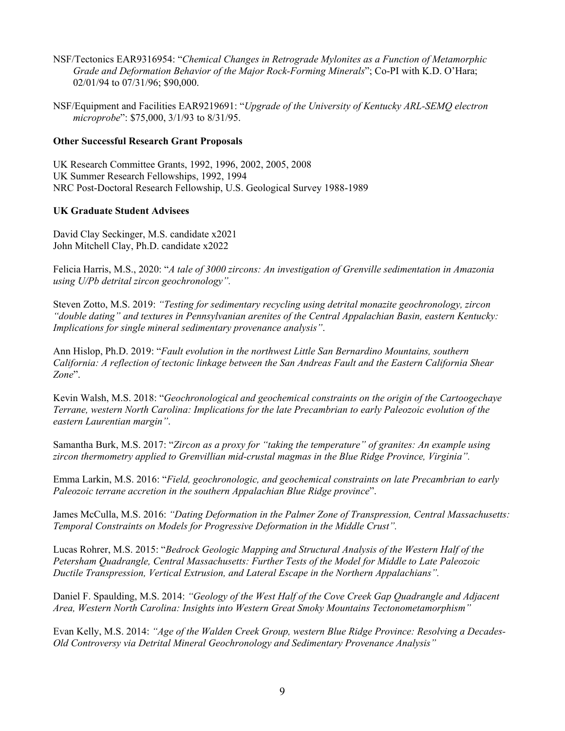- NSF/Tectonics EAR9316954: "*Chemical Changes in Retrograde Mylonites as a Function of Metamorphic Grade and Deformation Behavior of the Major Rock-Forming Minerals*"; Co-PI with K.D. O'Hara; 02/01/94 to 07/31/96; \$90,000.
- NSF/Equipment and Facilities EAR9219691: "*Upgrade of the University of Kentucky ARL-SEMQ electron microprobe*": \$75,000, 3/1/93 to 8/31/95.

# **Other Successful Research Grant Proposals**

UK Research Committee Grants, 1992, 1996, 2002, 2005, 2008 UK Summer Research Fellowships, 1992, 1994 NRC Post-Doctoral Research Fellowship, U.S. Geological Survey 1988-1989

# **UK Graduate Student Advisees**

David Clay Seckinger, M.S. candidate x2021 John Mitchell Clay, Ph.D. candidate x2022

Felicia Harris, M.S., 2020: "*A tale of 3000 zircons: An investigation of Grenville sedimentation in Amazonia using U/Pb detrital zircon geochronology".*

Steven Zotto, M.S. 2019: *"Testing for sedimentary recycling using detrital monazite geochronology, zircon "double dating" and textures in Pennsylvanian arenites of the Central Appalachian Basin, eastern Kentucky: Implications for single mineral sedimentary provenance analysis"*.

Ann Hislop, Ph.D. 2019: "*Fault evolution in the northwest Little San Bernardino Mountains, southern California: A reflection of tectonic linkage between the San Andreas Fault and the Eastern California Shear Zone*".

Kevin Walsh, M.S. 2018: "*Geochronological and geochemical constraints on the origin of the Cartoogechaye Terrane, western North Carolina: Implications for the late Precambrian to early Paleozoic evolution of the eastern Laurentian margin"*.

Samantha Burk, M.S. 2017: "*Zircon as a proxy for "taking the temperature" of granites: An example using zircon thermometry applied to Grenvillian mid-crustal magmas in the Blue Ridge Province, Virginia".*

Emma Larkin, M.S. 2016: "*Field, geochronologic, and geochemical constraints on late Precambrian to early Paleozoic terrane accretion in the southern Appalachian Blue Ridge province*".

James McCulla, M.S. 2016: *"Dating Deformation in the Palmer Zone of Transpression, Central Massachusetts: Temporal Constraints on Models for Progressive Deformation in the Middle Crust".*

Lucas Rohrer, M.S. 2015: "*Bedrock Geologic Mapping and Structural Analysis of the Western Half of the Petersham Quadrangle, Central Massachusetts: Further Tests of the Model for Middle to Late Paleozoic Ductile Transpression, Vertical Extrusion, and Lateral Escape in the Northern Appalachians".*

Daniel F. Spaulding, M.S. 2014: *"Geology of the West Half of the Cove Creek Gap Quadrangle and Adjacent Area, Western North Carolina: Insights into Western Great Smoky Mountains Tectonometamorphism"*

Evan Kelly, M.S. 2014: *"Age of the Walden Creek Group, western Blue Ridge Province: Resolving a Decades-Old Controversy via Detrital Mineral Geochronology and Sedimentary Provenance Analysis"*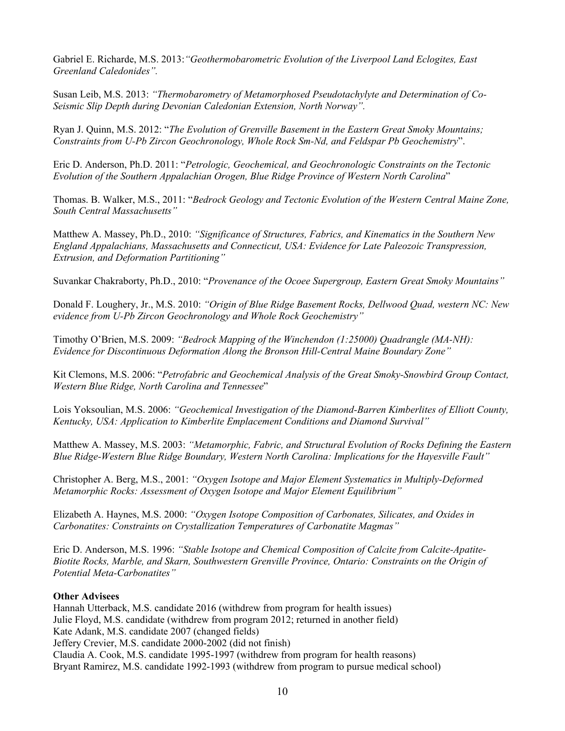Gabriel E. Richarde, M.S. 2013:*"Geothermobarometric Evolution of the Liverpool Land Eclogites, East Greenland Caledonides".*

Susan Leib, M.S. 2013: *"Thermobarometry of Metamorphosed Pseudotachylyte and Determination of Co-Seismic Slip Depth during Devonian Caledonian Extension, North Norway".*

Ryan J. Quinn, M.S. 2012: "*The Evolution of Grenville Basement in the Eastern Great Smoky Mountains; Constraints from U-Pb Zircon Geochronology, Whole Rock Sm-Nd, and Feldspar Pb Geochemistry*".

Eric D. Anderson, Ph.D. 2011: "*Petrologic, Geochemical, and Geochronologic Constraints on the Tectonic Evolution of the Southern Appalachian Orogen, Blue Ridge Province of Western North Carolina*"

Thomas. B. Walker, M.S., 2011: "*Bedrock Geology and Tectonic Evolution of the Western Central Maine Zone, South Central Massachusetts"*

Matthew A. Massey, Ph.D., 2010: *"Significance of Structures, Fabrics, and Kinematics in the Southern New England Appalachians, Massachusetts and Connecticut, USA: Evidence for Late Paleozoic Transpression, Extrusion, and Deformation Partitioning"*

Suvankar Chakraborty, Ph.D., 2010: "*Provenance of the Ocoee Supergroup, Eastern Great Smoky Mountains"*

Donald F. Loughery, Jr., M.S. 2010: *"Origin of Blue Ridge Basement Rocks, Dellwood Quad, western NC: New evidence from U-Pb Zircon Geochronology and Whole Rock Geochemistry"*

Timothy O'Brien, M.S. 2009: *"Bedrock Mapping of the Winchendon (1:25000) Quadrangle (MA-NH): Evidence for Discontinuous Deformation Along the Bronson Hill-Central Maine Boundary Zone"*

Kit Clemons, M.S. 2006: "*Petrofabric and Geochemical Analysis of the Great Smoky-Snowbird Group Contact, Western Blue Ridge, North Carolina and Tennessee*"

Lois Yoksoulian, M.S. 2006: *"Geochemical Investigation of the Diamond-Barren Kimberlites of Elliott County, Kentucky, USA: Application to Kimberlite Emplacement Conditions and Diamond Survival"*

Matthew A. Massey, M.S. 2003: *"Metamorphic, Fabric, and Structural Evolution of Rocks Defining the Eastern Blue Ridge-Western Blue Ridge Boundary, Western North Carolina: Implications for the Hayesville Fault"*

Christopher A. Berg, M.S., 2001: *"Oxygen Isotope and Major Element Systematics in Multiply-Deformed Metamorphic Rocks: Assessment of Oxygen Isotope and Major Element Equilibrium"*

Elizabeth A. Haynes, M.S. 2000: *"Oxygen Isotope Composition of Carbonates, Silicates, and Oxides in Carbonatites: Constraints on Crystallization Temperatures of Carbonatite Magmas"*

Eric D. Anderson, M.S. 1996: *"Stable Isotope and Chemical Composition of Calcite from Calcite-Apatite-Biotite Rocks, Marble, and Skarn, Southwestern Grenville Province, Ontario: Constraints on the Origin of Potential Meta-Carbonatites"*

## **Other Advisees**

Hannah Utterback, M.S. candidate 2016 (withdrew from program for health issues) Julie Floyd, M.S. candidate (withdrew from program 2012; returned in another field) Kate Adank, M.S. candidate 2007 (changed fields) Jeffery Crevier, M.S. candidate 2000-2002 (did not finish) Claudia A. Cook, M.S. candidate 1995-1997 (withdrew from program for health reasons) Bryant Ramirez, M.S. candidate 1992-1993 (withdrew from program to pursue medical school)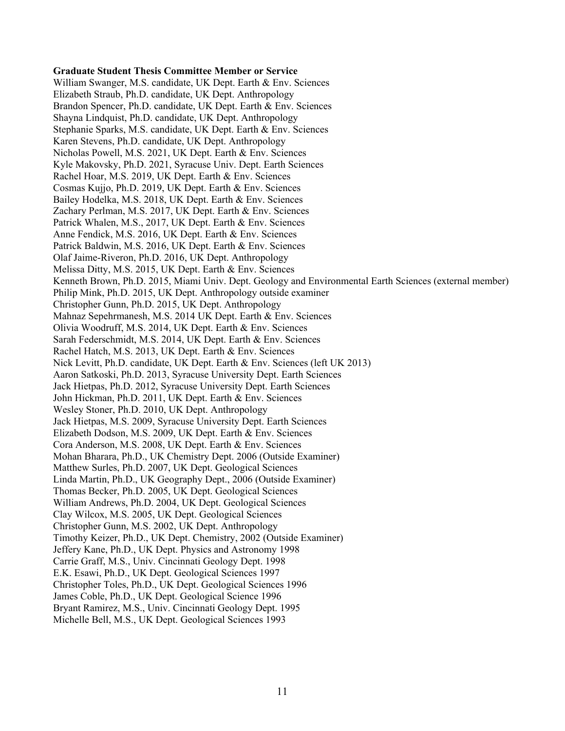#### **Graduate Student Thesis Committee Member or Service**

William Swanger, M.S. candidate, UK Dept. Earth & Env. Sciences Elizabeth Straub, Ph.D. candidate, UK Dept. Anthropology Brandon Spencer, Ph.D. candidate, UK Dept. Earth & Env. Sciences Shayna Lindquist, Ph.D. candidate, UK Dept. Anthropology Stephanie Sparks, M.S. candidate, UK Dept. Earth & Env. Sciences Karen Stevens, Ph.D. candidate, UK Dept. Anthropology Nicholas Powell, M.S. 2021, UK Dept. Earth & Env. Sciences Kyle Makovsky, Ph.D. 2021, Syracuse Univ. Dept. Earth Sciences Rachel Hoar, M.S. 2019, UK Dept. Earth & Env. Sciences Cosmas Kujjo, Ph.D. 2019, UK Dept. Earth & Env. Sciences Bailey Hodelka, M.S. 2018, UK Dept. Earth & Env. Sciences Zachary Perlman, M.S. 2017, UK Dept. Earth & Env. Sciences Patrick Whalen, M.S., 2017, UK Dept. Earth & Env. Sciences Anne Fendick, M.S. 2016, UK Dept. Earth & Env. Sciences Patrick Baldwin, M.S. 2016, UK Dept. Earth & Env. Sciences Olaf Jaime-Riveron, Ph.D. 2016, UK Dept. Anthropology Melissa Ditty, M.S. 2015, UK Dept. Earth & Env. Sciences Kenneth Brown, Ph.D. 2015, Miami Univ. Dept. Geology and Environmental Earth Sciences (external member) Philip Mink, Ph.D. 2015, UK Dept. Anthropology outside examiner Christopher Gunn, Ph.D. 2015, UK Dept. Anthropology Mahnaz Sepehrmanesh, M.S. 2014 UK Dept. Earth & Env. Sciences Olivia Woodruff, M.S. 2014, UK Dept. Earth & Env. Sciences Sarah Federschmidt, M.S. 2014, UK Dept. Earth & Env. Sciences Rachel Hatch, M.S. 2013, UK Dept. Earth & Env. Sciences Nick Levitt, Ph.D. candidate, UK Dept. Earth & Env. Sciences (left UK 2013) Aaron Satkoski, Ph.D. 2013, Syracuse University Dept. Earth Sciences Jack Hietpas, Ph.D. 2012, Syracuse University Dept. Earth Sciences John Hickman, Ph.D. 2011, UK Dept. Earth & Env. Sciences Wesley Stoner, Ph.D. 2010, UK Dept. Anthropology Jack Hietpas, M.S. 2009, Syracuse University Dept. Earth Sciences Elizabeth Dodson, M.S. 2009, UK Dept. Earth & Env. Sciences Cora Anderson, M.S. 2008, UK Dept. Earth & Env. Sciences Mohan Bharara, Ph.D., UK Chemistry Dept. 2006 (Outside Examiner) Matthew Surles, Ph.D. 2007, UK Dept. Geological Sciences Linda Martin, Ph.D., UK Geography Dept., 2006 (Outside Examiner) Thomas Becker, Ph.D. 2005, UK Dept. Geological Sciences William Andrews, Ph.D. 2004, UK Dept. Geological Sciences Clay Wilcox, M.S. 2005, UK Dept. Geological Sciences Christopher Gunn, M.S. 2002, UK Dept. Anthropology Timothy Keizer, Ph.D., UK Dept. Chemistry, 2002 (Outside Examiner) Jeffery Kane, Ph.D., UK Dept. Physics and Astronomy 1998 Carrie Graff, M.S., Univ. Cincinnati Geology Dept. 1998 E.K. Esawi, Ph.D., UK Dept. Geological Sciences 1997 Christopher Toles, Ph.D., UK Dept. Geological Sciences 1996 James Coble, Ph.D., UK Dept. Geological Science 1996 Bryant Ramirez, M.S., Univ. Cincinnati Geology Dept. 1995 Michelle Bell, M.S., UK Dept. Geological Sciences 1993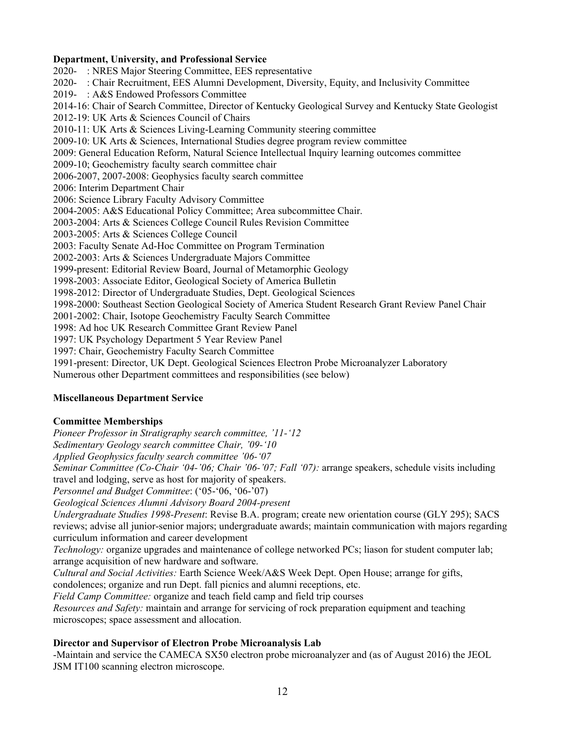#### **Department, University, and Professional Service**

2020- : NRES Major Steering Committee, EES representative 2020- : Chair Recruitment, EES Alumni Development, Diversity, Equity, and Inclusivity Committee 2019- : A&S Endowed Professors Committee 2014-16: Chair of Search Committee, Director of Kentucky Geological Survey and Kentucky State Geologist 2012-19: UK Arts & Sciences Council of Chairs 2010-11: UK Arts & Sciences Living-Learning Community steering committee 2009-10: UK Arts & Sciences, International Studies degree program review committee 2009: General Education Reform, Natural Science Intellectual Inquiry learning outcomes committee 2009-10; Geochemistry faculty search committee chair 2006-2007, 2007-2008: Geophysics faculty search committee 2006: Interim Department Chair 2006: Science Library Faculty Advisory Committee 2004-2005: A&S Educational Policy Committee; Area subcommittee Chair. 2003-2004: Arts & Sciences College Council Rules Revision Committee 2003-2005: Arts & Sciences College Council 2003: Faculty Senate Ad-Hoc Committee on Program Termination 2002-2003: Arts & Sciences Undergraduate Majors Committee 1999-present: Editorial Review Board, Journal of Metamorphic Geology 1998-2003: Associate Editor, Geological Society of America Bulletin 1998-2012: Director of Undergraduate Studies, Dept. Geological Sciences 1998-2000: Southeast Section Geological Society of America Student Research Grant Review Panel Chair 2001-2002: Chair, Isotope Geochemistry Faculty Search Committee 1998: Ad hoc UK Research Committee Grant Review Panel 1997: UK Psychology Department 5 Year Review Panel 1997: Chair, Geochemistry Faculty Search Committee 1991-present: Director, UK Dept. Geological Sciences Electron Probe Microanalyzer Laboratory Numerous other Department committees and responsibilities (see below)

## **Miscellaneous Department Service**

## **Committee Memberships**

*Pioneer Professor in Stratigraphy search committee, '11-'12*

*Sedimentary Geology search committee Chair, '09-'10*

*Applied Geophysics faculty search committee '06-'07*

*Seminar Committee (Co-Chair '04-'06; Chair '06-'07; Fall '07):* arrange speakers, schedule visits including travel and lodging, serve as host for majority of speakers.

*Personnel and Budget Committee*: ('05-'06, '06-'07)

*Geological Sciences Alumni Advisory Board 2004-present*

*Undergraduate Studies 1998-Present*: Revise B.A. program; create new orientation course (GLY 295); SACS reviews; advise all junior-senior majors; undergraduate awards; maintain communication with majors regarding curriculum information and career development

*Technology:* organize upgrades and maintenance of college networked PCs; liason for student computer lab; arrange acquisition of new hardware and software.

*Cultural and Social Activities:* Earth Science Week/A&S Week Dept. Open House; arrange for gifts, condolences; organize and run Dept. fall picnics and alumni receptions, etc.

*Field Camp Committee:* organize and teach field camp and field trip courses

*Resources and Safety:* maintain and arrange for servicing of rock preparation equipment and teaching microscopes; space assessment and allocation.

## **Director and Supervisor of Electron Probe Microanalysis Lab**

-Maintain and service the CAMECA SX50 electron probe microanalyzer and (as of August 2016) the JEOL JSM IT100 scanning electron microscope.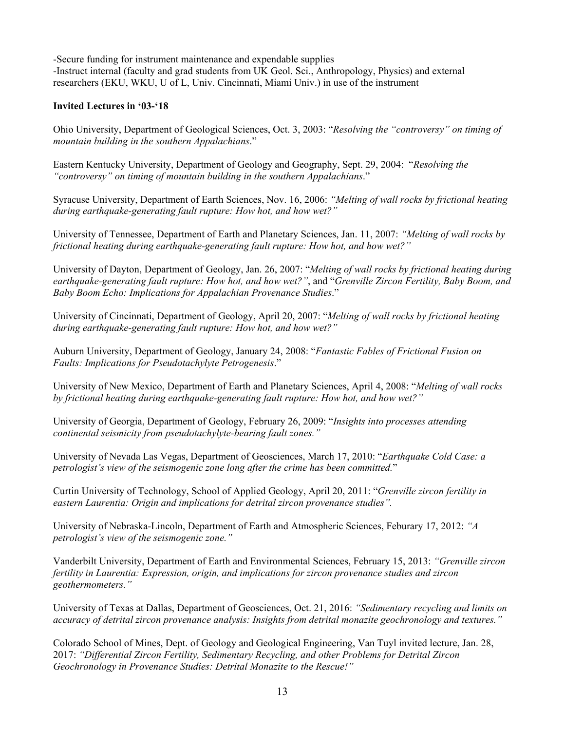-Secure funding for instrument maintenance and expendable supplies -Instruct internal (faculty and grad students from UK Geol. Sci., Anthropology, Physics) and external researchers (EKU, WKU, U of L, Univ. Cincinnati, Miami Univ.) in use of the instrument

# **Invited Lectures in '03-'18**

Ohio University, Department of Geological Sciences, Oct. 3, 2003: "*Resolving the "controversy" on timing of mountain building in the southern Appalachians*."

Eastern Kentucky University, Department of Geology and Geography, Sept. 29, 2004: "*Resolving the "controversy" on timing of mountain building in the southern Appalachians*."

Syracuse University, Department of Earth Sciences, Nov. 16, 2006: *"Melting of wall rocks by frictional heating during earthquake-generating fault rupture: How hot, and how wet?"*

University of Tennessee, Department of Earth and Planetary Sciences, Jan. 11, 2007: *"Melting of wall rocks by frictional heating during earthquake-generating fault rupture: How hot, and how wet?"*

University of Dayton, Department of Geology, Jan. 26, 2007: "*Melting of wall rocks by frictional heating during earthquake-generating fault rupture: How hot, and how wet?"*, and "*Grenville Zircon Fertility, Baby Boom, and Baby Boom Echo: Implications for Appalachian Provenance Studies*."

University of Cincinnati, Department of Geology, April 20, 2007: "*Melting of wall rocks by frictional heating during earthquake-generating fault rupture: How hot, and how wet?"*

Auburn University, Department of Geology, January 24, 2008: "*Fantastic Fables of Frictional Fusion on Faults: Implications for Pseudotachylyte Petrogenesis*."

University of New Mexico, Department of Earth and Planetary Sciences, April 4, 2008: "*Melting of wall rocks by frictional heating during earthquake-generating fault rupture: How hot, and how wet?"*

University of Georgia, Department of Geology, February 26, 2009: "*Insights into processes attending continental seismicity from pseudotachylyte-bearing fault zones."*

University of Nevada Las Vegas, Department of Geosciences, March 17, 2010: "*Earthquake Cold Case: a petrologist's view of the seismogenic zone long after the crime has been committed.*"

Curtin University of Technology, School of Applied Geology, April 20, 2011: "*Grenville zircon fertility in eastern Laurentia: Origin and implications for detrital zircon provenance studies".*

University of Nebraska-Lincoln, Department of Earth and Atmospheric Sciences, Feburary 17, 2012: *"A petrologist's view of the seismogenic zone."*

Vanderbilt University, Department of Earth and Environmental Sciences, February 15, 2013: *"Grenville zircon fertility in Laurentia: Expression, origin, and implications for zircon provenance studies and zircon geothermometers."*

University of Texas at Dallas, Department of Geosciences, Oct. 21, 2016: *"Sedimentary recycling and limits on accuracy of detrital zircon provenance analysis: Insights from detrital monazite geochronology and textures."*

Colorado School of Mines, Dept. of Geology and Geological Engineering, Van Tuyl invited lecture, Jan. 28, 2017: *"Differential Zircon Fertility, Sedimentary Recycling, and other Problems for Detrital Zircon Geochronology in Provenance Studies: Detrital Monazite to the Rescue!"*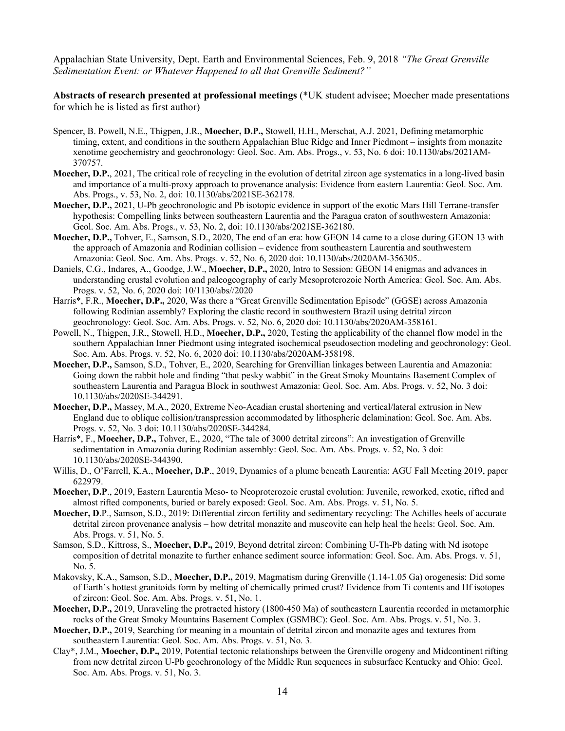Appalachian State University, Dept. Earth and Environmental Sciences, Feb. 9, 2018 *"The Great Grenville Sedimentation Event: or Whatever Happened to all that Grenville Sediment?"*

**Abstracts of research presented at professional meetings** (\*UK student advisee; Moecher made presentations for which he is listed as first author)

- Spencer, B. Powell, N.E., Thigpen, J.R., **Moecher, D.P.,** Stowell, H.H., Merschat, A.J. 2021, Defining metamorphic timing, extent, and conditions in the southern Appalachian Blue Ridge and Inner Piedmont – insights from monazite xenotime geochemistry and geochronology: Geol. Soc. Am. Abs. Progs., v. 53, No. 6 doi: 10.1130/abs/2021AM-370757.
- **Moecher, D.P.**, 2021, The critical role of recycling in the evolution of detrital zircon age systematics in a long-lived basin and importance of a multi-proxy approach to provenance analysis: Evidence from eastern Laurentia: Geol. Soc. Am. Abs. Progs., v. 53, No. 2, doi: 10.1130/abs/2021SE-362178.
- **Moecher, D.P.,** 2021, U-Pb geochronologic and Pb isotopic evidence in support of the exotic Mars Hill Terrane-transfer hypothesis: Compelling links between southeastern Laurentia and the Paragua craton of southwestern Amazonia: Geol. Soc. Am. Abs. Progs., v. 53, No. 2, doi: 10.1130/abs/2021SE-362180.
- **Moecher, D.P.,** Tohver, E., Samson, S.D., 2020, The end of an era: how GEON 14 came to a close during GEON 13 with the approach of Amazonia and Rodinian collision – evidence from southeastern Laurentia and southwestern Amazonia: Geol. Soc. Am. Abs. Progs. v. 52, No. 6, 2020 doi: 10.1130/abs/2020AM-356305..
- Daniels, C.G., Indares, A., Goodge, J.W., **Moecher, D.P.,** 2020, Intro to Session: GEON 14 enigmas and advances in understanding crustal evolution and paleogeography of early Mesoproterozoic North America: Geol. Soc. Am. Abs. Progs. v. 52, No. 6, 2020 doi: 10/1130/abs//2020
- Harris\*, F.R., **Moecher, D.P.,** 2020, Was there a "Great Grenville Sedimentation Episode" (GGSE) across Amazonia following Rodinian assembly? Exploring the clastic record in southwestern Brazil using detrital zircon geochronology: Geol. Soc. Am. Abs. Progs. v. 52, No. 6, 2020 doi: 10.1130/abs/2020AM-358161.
- Powell, N., Thigpen, J.R., Stowell, H.D., **Moecher, D.P.,** 2020, Testing the applicability of the channel flow model in the southern Appalachian Inner Piedmont using integrated isochemical pseudosection modeling and geochronology: Geol. Soc. Am. Abs. Progs. v. 52, No. 6, 2020 doi: 10.1130/abs/2020AM-358198.
- **Moecher, D.P.,** Samson, S.D., Tohver, E., 2020, Searching for Grenvillian linkages between Laurentia and Amazonia: Going down the rabbit hole and finding "that pesky wabbit" in the Great Smoky Mountains Basement Complex of southeastern Laurentia and Paragua Block in southwest Amazonia: Geol. Soc. Am. Abs. Progs. v. 52, No. 3 doi: 10.1130/abs/2020SE-344291.
- **Moecher, D.P.,** Massey, M.A., 2020, Extreme Neo-Acadian crustal shortening and vertical/lateral extrusion in New England due to oblique collision/transpression accommodated by lithospheric delamination: Geol. Soc. Am. Abs. Progs. v. 52, No. 3 doi: 10.1130/abs/2020SE-344284.
- Harris\*, F., **Moecher, D.P.,** Tohver, E., 2020, "The tale of 3000 detrital zircons": An investigation of Grenville sedimentation in Amazonia during Rodinian assembly: Geol. Soc. Am. Abs. Progs. v. 52, No. 3 doi: 10.1130/abs/2020SE-344390.
- Willis, D., O'Farrell, K.A., **Moecher, D.P**., 2019, Dynamics of a plume beneath Laurentia: AGU Fall Meeting 2019, paper 622979.
- **Moecher, D.P**., 2019, Eastern Laurentia Meso- to Neoproterozoic crustal evolution: Juvenile, reworked, exotic, rifted and almost rifted components, buried or barely exposed: Geol. Soc. Am. Abs. Progs. v. 51, No. 5.
- **Moecher, D**.P., Samson, S.D., 2019: Differential zircon fertility and sedimentary recycling: The Achilles heels of accurate detrital zircon provenance analysis – how detrital monazite and muscovite can help heal the heels: Geol. Soc. Am. Abs. Progs. v. 51, No. 5.
- Samson, S.D., Kittross, S., **Moecher, D.P.,** 2019, Beyond detrital zircon: Combining U-Th-Pb dating with Nd isotope composition of detrital monazite to further enhance sediment source information: Geol. Soc. Am. Abs. Progs. v. 51, No. 5.
- Makovsky, K.A., Samson, S.D., **Moecher, D.P.,** 2019, Magmatism during Grenville (1.14-1.05 Ga) orogenesis: Did some of Earth's hottest granitoids form by melting of chemically primed crust? Evidence from Ti contents and Hf isotopes of zircon: Geol. Soc. Am. Abs. Progs. v. 51, No. 1.
- **Moecher, D.P.,** 2019, Unraveling the protracted history (1800-450 Ma) of southeastern Laurentia recorded in metamorphic rocks of the Great Smoky Mountains Basement Complex (GSMBC): Geol. Soc. Am. Abs. Progs. v. 51, No. 3.
- **Moecher, D.P.,** 2019, Searching for meaning in a mountain of detrital zircon and monazite ages and textures from southeastern Laurentia: Geol. Soc. Am. Abs. Progs. v. 51, No. 3.
- Clay\*, J.M., **Moecher, D.P.,** 2019, Potential tectonic relationships between the Grenville orogeny and Midcontinent rifting from new detrital zircon U-Pb geochronology of the Middle Run sequences in subsurface Kentucky and Ohio: Geol. Soc. Am. Abs. Progs. v. 51, No. 3.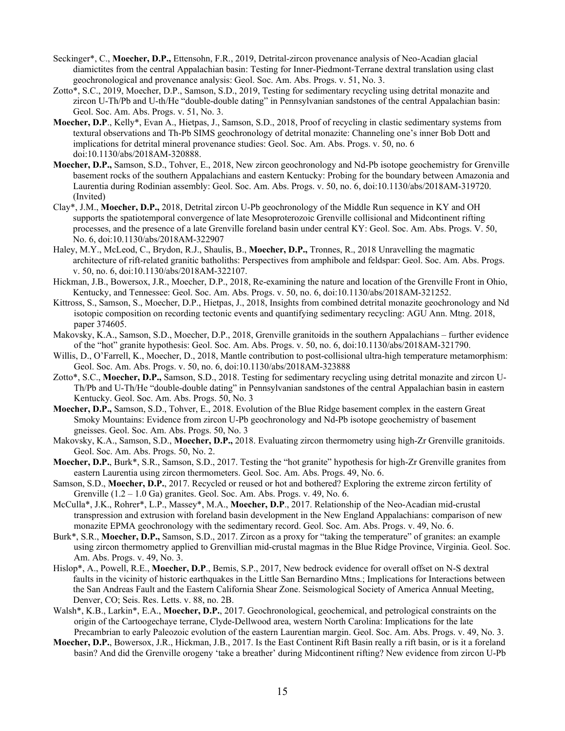- Seckinger\*, C., **Moecher, D.P.,** Ettensohn, F.R., 2019, Detrital-zircon provenance analysis of Neo-Acadian glacial diamictites from the central Appalachian basin: Testing for Inner-Piedmont-Terrane dextral translation using clast geochronological and provenance analysis: Geol. Soc. Am. Abs. Progs. v. 51, No. 3.
- Zotto\*, S.C., 2019, Moecher, D.P., Samson, S.D., 2019, Testing for sedimentary recycling using detrital monazite and zircon U-Th/Pb and U-th/He "double-double dating" in Pennsylvanian sandstones of the central Appalachian basin: Geol. Soc. Am. Abs. Progs. v. 51, No. 3.
- **Moecher, D.P**., Kelly\*, Evan A., Hietpas, J., Samson, S.D., 2018, Proof of recycling in clastic sedimentary systems from textural observations and Th-Pb SIMS geochronology of detrital monazite: Channeling one's inner Bob Dott and implications for detrital mineral provenance studies: Geol. Soc. Am. Abs. Progs. v. 50, no. 6 doi:10.1130/abs/2018AM-320888.
- **Moecher, D.P.,** Samson, S.D., Tohver, E., 2018, New zircon geochronology and Nd-Pb isotope geochemistry for Grenville basement rocks of the southern Appalachians and eastern Kentucky: Probing for the boundary between Amazonia and Laurentia during Rodinian assembly: Geol. Soc. Am. Abs. Progs. v. 50, no. 6, doi:10.1130/abs/2018AM-319720. (Invited)
- Clay\*, J.M., **Moecher, D.P.,** 2018, Detrital zircon U-Pb geochronology of the Middle Run sequence in KY and OH supports the spatiotemporal convergence of late Mesoproterozoic Grenville collisional and Midcontinent rifting processes, and the presence of a late Grenville foreland basin under central KY: Geol. Soc. Am. Abs. Progs. V. 50, No. 6, doi:10.1130/abs/2018AM-322907
- Haley, M.Y., McLeod, C., Brydon, R.J., Shaulis, B., **Moecher, D.P.,** Tronnes, R., 2018 Unravelling the magmatic architecture of rift-related granitic batholiths: Perspectives from amphibole and feldspar: Geol. Soc. Am. Abs. Progs. v. 50, no. 6, doi:10.1130/abs/2018AM-322107.
- Hickman, J.B., Bowersox, J.R., Moecher, D.P., 2018, Re-examining the nature and location of the Grenville Front in Ohio, Kentucky, and Tennessee: Geol. Soc. Am. Abs. Progs. v. 50, no. 6, doi:10.1130/abs/2018AM-321252.
- Kittross, S., Samson, S., Moecher, D.P., Hietpas, J., 2018, Insights from combined detrital monazite geochronology and Nd isotopic composition on recording tectonic events and quantifying sedimentary recycling: AGU Ann. Mtng. 2018, paper 374605.
- Makovsky, K.A., Samson, S.D., Moecher, D.P., 2018, Grenville granitoids in the southern Appalachians further evidence of the "hot" granite hypothesis: Geol. Soc. Am. Abs. Progs. v. 50, no. 6, doi:10.1130/abs/2018AM-321790.
- Willis, D., O'Farrell, K., Moecher, D., 2018, Mantle contribution to post-collisional ultra-high temperature metamorphism: Geol. Soc. Am. Abs. Progs. v. 50, no. 6, doi:10.1130/abs/2018AM-323888
- Zotto\*, S.C., **Moecher, D.P.,** Samson, S.D., 2018. Testing for sedimentary recycling using detrital monazite and zircon U-Th/Pb and U-Th/He "double-double dating" in Pennsylvanian sandstones of the central Appalachian basin in eastern Kentucky. Geol. Soc. Am. Abs. Progs. 50, No. 3
- **Moecher, D.P.,** Samson, S.D., Tohver, E., 2018. Evolution of the Blue Ridge basement complex in the eastern Great Smoky Mountains: Evidence from zircon U-Pb geochronology and Nd-Pb isotope geochemistry of basement gneisses. Geol. Soc. Am. Abs. Progs. 50, No. 3
- Makovsky, K.A., Samson, S.D., **Moecher, D.P.,** 2018. Evaluating zircon thermometry using high-Zr Grenville granitoids. Geol. Soc. Am. Abs. Progs. 50, No. 2.
- **Moecher, D.P.**, Burk\*, S.R., Samson, S.D., 2017. Testing the "hot granite" hypothesis for high-Zr Grenville granites from eastern Laurentia using zircon thermometers. Geol. Soc. Am. Abs. Progs. 49, No. 6.
- Samson, S.D., **Moecher, D.P.**, 2017. Recycled or reused or hot and bothered? Exploring the extreme zircon fertility of Grenville  $(1.2 - 1.0 \text{ Ga})$  granites. Geol. Soc. Am. Abs. Progs. v. 49, No. 6.
- McCulla\*, J.K., Rohrer\*, L.P., Massey\*, M.A., **Moecher, D.P**., 2017. Relationship of the Neo-Acadian mid-crustal transpression and extrusion with foreland basin development in the New England Appalachians: comparison of new monazite EPMA geochronology with the sedimentary record. Geol. Soc. Am. Abs. Progs. v. 49, No. 6.
- Burk\*, S.R., **Moecher, D.P.,** Samson, S.D., 2017. Zircon as a proxy for "taking the temperature" of granites: an example using zircon thermometry applied to Grenvillian mid-crustal magmas in the Blue Ridge Province, Virginia. Geol. Soc. Am. Abs. Progs. v. 49, No. 3.
- Hislop\*, A., Powell, R.E., **Moecher, D.P**., Bemis, S.P., 2017, New bedrock evidence for overall offset on N-S dextral faults in the vicinity of historic earthquakes in the Little San Bernardino Mtns.; Implications for Interactions between the San Andreas Fault and the Eastern California Shear Zone. Seismological Society of America Annual Meeting, Denver, CO; Seis. Res. Letts. v. 88, no. 2B.
- Walsh\*, K.B., Larkin\*, E.A., **Moecher, D.P.**, 2017. Geochronological, geochemical, and petrological constraints on the origin of the Cartoogechaye terrane, Clyde-Dellwood area, western North Carolina: Implications for the late Precambrian to early Paleozoic evolution of the eastern Laurentian margin. Geol. Soc. Am. Abs. Progs. v. 49, No. 3.
- **Moecher, D.P.**, Bowersox, J.R., Hickman, J.B., 2017. Is the East Continent Rift Basin really a rift basin, or is it a foreland basin? And did the Grenville orogeny 'take a breather' during Midcontinent rifting? New evidence from zircon U-Pb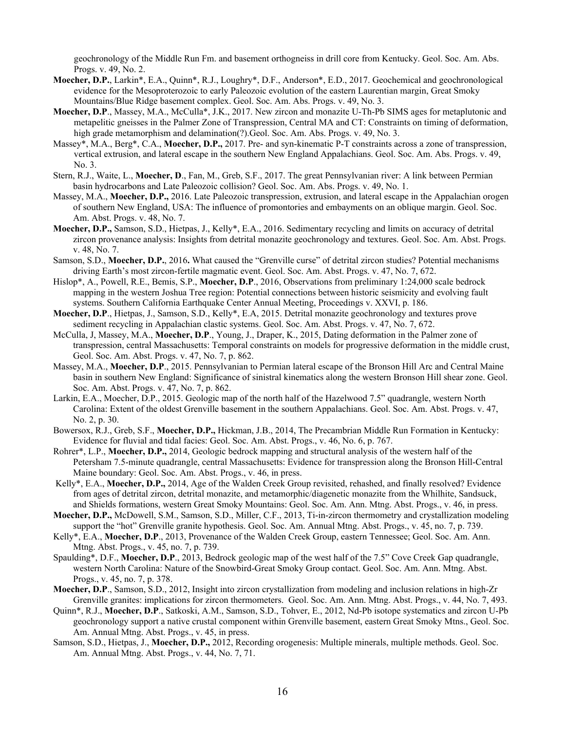geochronology of the Middle Run Fm. and basement orthogneiss in drill core from Kentucky. Geol. Soc. Am. Abs. Progs. v. 49, No. 2.

- **Moecher, D.P.**, Larkin\*, E.A., Quinn\*, R.J., Loughry\*, D.F., Anderson\*, E.D., 2017. Geochemical and geochronological evidence for the Mesoproterozoic to early Paleozoic evolution of the eastern Laurentian margin, Great Smoky Mountains/Blue Ridge basement complex. Geol. Soc. Am. Abs. Progs. v. 49, No. 3.
- **Moecher, D.P**., Massey, M.A., McCulla\*, J.K., 2017. New zircon and monazite U-Th-Pb SIMS ages for metaplutonic and metapelitic gneisses in the Palmer Zone of Transpression, Central MA and CT: Constraints on timing of deformation, high grade metamorphism and delamination(?).Geol. Soc. Am. Abs. Progs. v. 49, No. 3.
- Massey\*, M.A., Berg\*, C.A., **Moecher, D.P.,** 2017. Pre- and syn-kinematic P-T constraints across a zone of transpression, vertical extrusion, and lateral escape in the southern New England Appalachians. Geol. Soc. Am. Abs. Progs. v. 49, No. 3.
- Stern, R.J., Waite, L., **Moecher, D**., Fan, M., Greb, S.F., 2017. The great Pennsylvanian river: A link between Permian basin hydrocarbons and Late Paleozoic collision? Geol. Soc. Am. Abs. Progs. v. 49, No. 1.
- Massey, M.A., **Moecher, D.P.,** 2016. Late Paleozoic transpression, extrusion, and lateral escape in the Appalachian orogen of southern New England, USA: The influence of promontories and embayments on an oblique margin. Geol. Soc. Am. Abst. Progs. v. 48, No. 7.
- **Moecher, D.P.,** Samson, S.D., Hietpas, J., Kelly\*, E.A., 2016. Sedimentary recycling and limits on accuracy of detrital zircon provenance analysis: Insights from detrital monazite geochronology and textures. Geol. Soc. Am. Abst. Progs. v. 48, No. 7.
- Samson, S.D., **Moecher, D.P.**, 2016**.** What caused the "Grenville curse" of detrital zircon studies? Potential mechanisms driving Earth's most zircon-fertile magmatic event. Geol. Soc. Am. Abst. Progs. v. 47, No. 7, 672.
- Hislop\*, A., Powell, R.E., Bemis, S.P., **Moecher, D.P**., 2016, Observations from preliminary 1:24,000 scale bedrock mapping in the western Joshua Tree region: Potential connections between historic seismicity and evolving fault systems. Southern California Earthquake Center Annual Meeting, Proceedings v. XXVI, p. 186.
- **Moecher, D.P**., Hietpas, J., Samson, S.D., Kelly\*, E.A, 2015. Detrital monazite geochronology and textures prove sediment recycling in Appalachian clastic systems. Geol. Soc. Am. Abst. Progs. v. 47, No. 7, 672.
- McCulla, J, Massey, M.A., **Moecher, D.P**., Young, J., Draper, K., 2015, Dating deformation in the Palmer zone of transpression, central Massachusetts: Temporal constraints on models for progressive deformation in the middle crust, Geol. Soc. Am. Abst. Progs. v. 47, No. 7, p. 862.
- Massey, M.A., **Moecher, D.P**., 2015. Pennsylvanian to Permian lateral escape of the Bronson Hill Arc and Central Maine basin in southern New England: Significance of sinistral kinematics along the western Bronson Hill shear zone. Geol. Soc. Am. Abst. Progs. v. 47, No. 7, p. 862.
- Larkin, E.A., Moecher, D.P., 2015. Geologic map of the north half of the Hazelwood 7.5" quadrangle, western North Carolina: Extent of the oldest Grenville basement in the southern Appalachians. Geol. Soc. Am. Abst. Progs. v. 47, No. 2, p. 30.
- Bowersox, R.J., Greb, S.F., **Moecher, D.P.,** Hickman, J.B., 2014, The Precambrian Middle Run Formation in Kentucky: Evidence for fluvial and tidal facies: Geol. Soc. Am. Abst. Progs., v. 46, No. 6, p. 767.
- Rohrer\*, L.P., **Moecher, D.P.,** 2014, Geologic bedrock mapping and structural analysis of the western half of the Petersham 7.5-minute quadrangle, central Massachusetts: Evidence for transpression along the Bronson Hill-Central Maine boundary: Geol. Soc. Am. Abst. Progs., v. 46, in press.
- Kelly\*, E.A., **Moecher, D.P.,** 2014, Age of the Walden Creek Group revisited, rehashed, and finally resolved? Evidence from ages of detrital zircon, detrital monazite, and metamorphic/diagenetic monazite from the Whilhite, Sandsuck, and Shields formations, western Great Smoky Mountains: Geol. Soc. Am. Ann. Mtng. Abst. Progs., v. 46, in press.
- **Moecher, D.P.,** McDowell, S.M., Samson, S.D., Miller, C.F., 2013, Ti-in-zircon thermometry and crystallization modeling support the "hot" Grenville granite hypothesis. Geol. Soc. Am. Annual Mtng. Abst. Progs., v. 45, no. 7, p. 739.
- Kelly\*, E.A., **Moecher, D.P**., 2013, Provenance of the Walden Creek Group, eastern Tennessee; Geol. Soc. Am. Ann. Mtng. Abst. Progs., v. 45, no. 7, p. 739.
- Spaulding\*, D.F., **Moecher, D.P**., 2013, Bedrock geologic map of the west half of the 7.5" Cove Creek Gap quadrangle, western North Carolina: Nature of the Snowbird-Great Smoky Group contact. Geol. Soc. Am. Ann. Mtng. Abst. Progs., v. 45, no. 7, p. 378.
- **Moecher, D.P**., Samson, S.D., 2012, Insight into zircon crystallization from modeling and inclusion relations in high-Zr Grenville granites: implications for zircon thermometers. Geol. Soc. Am. Ann. Mtng. Abst. Progs., v. 44, No. 7, 493.
- Quinn\*, R.J., **Moecher, D.P**., Satkoski, A.M., Samson, S.D., Tohver, E., 2012, Nd-Pb isotope systematics and zircon U-Pb geochronology support a native crustal component within Grenville basement, eastern Great Smoky Mtns., Geol. Soc. Am. Annual Mtng. Abst. Progs., v. 45, in press.
- Samson, S.D., Hietpas, J., **Moecher, D.P.,** 2012, Recording orogenesis: Multiple minerals, multiple methods. Geol. Soc. Am. Annual Mtng. Abst. Progs., v. 44, No. 7, 71.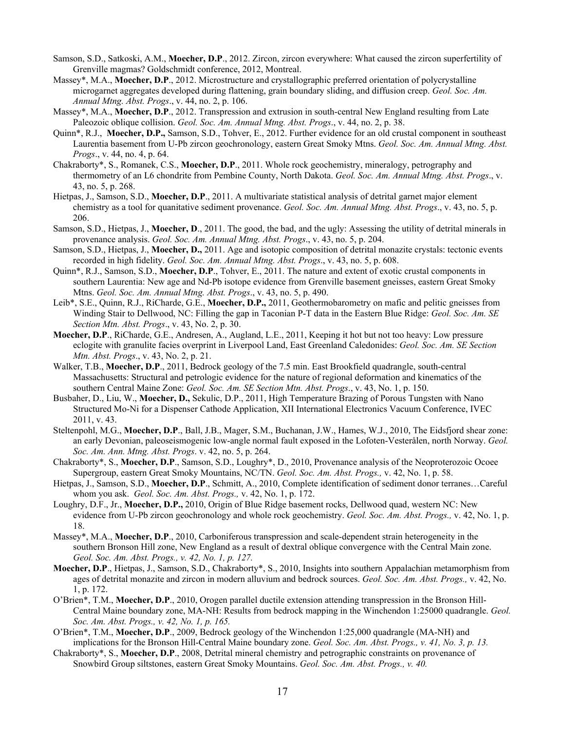- Samson, S.D., Satkoski, A.M., **Moecher, D.P**., 2012. Zircon, zircon everywhere: What caused the zircon superfertility of Grenville magmas? Goldschmidt conference, 2012, Montreal.
- Massey\*, M.A., **Moecher, D.P**., 2012. Microstructure and crystallographic preferred orientation of polycrystalline microgarnet aggregates developed during flattening, grain boundary sliding, and diffusion creep. *Geol. Soc. Am. Annual Mtng. Abst. Progs*., v. 44, no. 2, p. 106.
- Massey\*, M.A., **Moecher, D.P**., 2012. Transpression and extrusion in south-central New England resulting from Late Paleozoic oblique collision. *Geol. Soc. Am. Annual Mtng. Abst. Progs*., v. 44, no. 2, p. 38.
- Quinn\*, R.J., **Moecher, D.P.,** Samson, S.D., Tohver, E., 2012. Further evidence for an old crustal component in southeast Laurentia basement from U-Pb zircon geochronology, eastern Great Smoky Mtns. *Geol. Soc. Am. Annual Mtng. Abst. Progs*., v. 44, no. 4, p. 64.
- Chakraborty\*, S., Romanek, C.S., **Moecher, D.P**., 2011. Whole rock geochemistry, mineralogy, petrography and thermometry of an L6 chondrite from Pembine County, North Dakota. *Geol. Soc. Am. Annual Mtng. Abst. Progs*., v. 43, no. 5, p. 268.
- Hietpas, J., Samson, S.D., **Moecher, D.P**., 2011. A multivariate statistical analysis of detrital garnet major element chemistry as a tool for quanitative sediment provenance. *Geol. Soc. Am. Annual Mtng. Abst. Progs*., v. 43, no. 5, p. 206.
- Samson, S.D., Hietpas, J., **Moecher, D**., 2011. The good, the bad, and the ugly: Assessing the utility of detrital minerals in provenance analysis. *Geol. Soc. Am. Annual Mtng. Abst. Progs*., v. 43, no. 5, p. 204.
- Samson, S.D., Hietpas, J., **Moecher, D.,** 2011. Age and isotopic composition of detrital monazite crystals: tectonic events recorded in high fidelity. *Geol. Soc. Am. Annual Mtng. Abst. Progs*., v. 43, no. 5, p. 608.
- Quinn\*, R.J., Samson, S.D., **Moecher, D.P**., Tohver, E., 2011. The nature and extent of exotic crustal components in southern Laurentia: New age and Nd-Pb isotope evidence from Grenville basement gneisses, eastern Great Smoky Mtns. *Geol. Soc. Am. Annual Mtng. Abst. Progs*., v. 43, no. 5, p. 490.
- Leib\*, S.E., Quinn, R.J., RiCharde, G.E., **Moecher, D.P.,** 2011, Geothermobarometry on mafic and pelitic gneisses from Winding Stair to Dellwood, NC: Filling the gap in Taconian P-T data in the Eastern Blue Ridge: *Geol. Soc. Am. SE Section Mtn. Abst. Progs*., v. 43, No. 2, p. 30.
- **Moecher, D.P**., RiCharde, G.E., Andresen, A., Augland, L.E., 2011, Keeping it hot but not too heavy: Low pressure eclogite with granulite facies overprint in Liverpool Land, East Greenland Caledonides: *Geol. Soc. Am. SE Section Mtn. Abst. Progs*., v. 43, No. 2, p. 21.
- Walker, T.B., **Moecher, D.P**., 2011, Bedrock geology of the 7.5 min. East Brookfield quadrangle, south-central Massachusetts: Structural and petrologic evidence for the nature of regional deformation and kinematics of the southern Central Maine Zone: *Geol. Soc. Am. SE Section Mtn. Abst. Progs*., v. 43, No. 1, p. 150.
- Busbaher, D., Liu, W., **Moecher, D.,** Sekulic, D.P., 2011, High Temperature Brazing of Porous Tungsten with Nano Structured Mo-Ni for a Dispenser Cathode Application, XII International Electronics Vacuum Conference, IVEC 2011, v. 43.
- Steltenpohl, M.G., **Moecher, D.P**., Ball, J.B., Mager, S.M., Buchanan, J.W., Hames, W.J., 2010, The Eidsfjord shear zone: an early Devonian, paleoseismogenic low-angle normal fault exposed in the Lofoten-Vesterålen, north Norway. *Geol. Soc. Am. Ann. Mtng. Abst. Progs*. v. 42, no. 5, p. 264.
- Chakraborty\*, S., **Moecher, D.P**., Samson, S.D., Loughry\*, D., 2010, Provenance analysis of the Neoproterozoic Ocoee Supergroup, eastern Great Smoky Mountains, NC/TN. *Geol. Soc. Am. Abst. Progs.,* v. 42, No. 1, p. 58.
- Hietpas, J., Samson, S.D., **Moecher, D.P**., Schmitt, A., 2010, Complete identification of sediment donor terranes…Careful whom you ask. *Geol. Soc. Am. Abst. Progs.,* v. 42, No. 1, p. 172.
- Loughry, D.F., Jr., **Moecher, D.P.,** 2010, Origin of Blue Ridge basement rocks, Dellwood quad, western NC: New evidence from U-Pb zircon geochronology and whole rock geochemistry. *Geol. Soc. Am. Abst. Progs.,* v. 42, No. 1, p. 18.
- Massey\*, M.A., **Moecher, D.P**., 2010, Carboniferous transpression and scale-dependent strain heterogeneity in the southern Bronson Hill zone, New England as a result of dextral oblique convergence with the Central Main zone. *Geol. Soc. Am. Abst. Progs., v. 42, No. 1, p. 127.*
- **Moecher, D.P**., Hietpas, J., Samson, S.D., Chakraborty\*, S., 2010, Insights into southern Appalachian metamorphism from ages of detrital monazite and zircon in modern alluvium and bedrock sources. *Geol. Soc. Am. Abst. Progs.,* v. 42, No. 1, p. 172.
- O'Brien\*, T.M., **Moecher, D.P**., 2010, Orogen parallel ductile extension attending transpression in the Bronson Hill-Central Maine boundary zone, MA-NH: Results from bedrock mapping in the Winchendon 1:25000 quadrangle. *Geol. Soc. Am. Abst. Progs., v. 42, No. 1, p. 165.*
- O'Brien\*, T.M., **Moecher, D.P**., 2009, Bedrock geology of the Winchendon 1:25,000 quadrangle (MA-NH) and implications for the Bronson Hill-Central Maine boundary zone. *Geol. Soc. Am. Abst. Progs., v. 41, No. 3, p. 13.*
- Chakraborty\*, S., **Moecher, D.P**., 2008, Detrital mineral chemistry and petrographic constraints on provenance of Snowbird Group siltstones, eastern Great Smoky Mountains. *Geol. Soc. Am. Abst. Progs., v. 40.*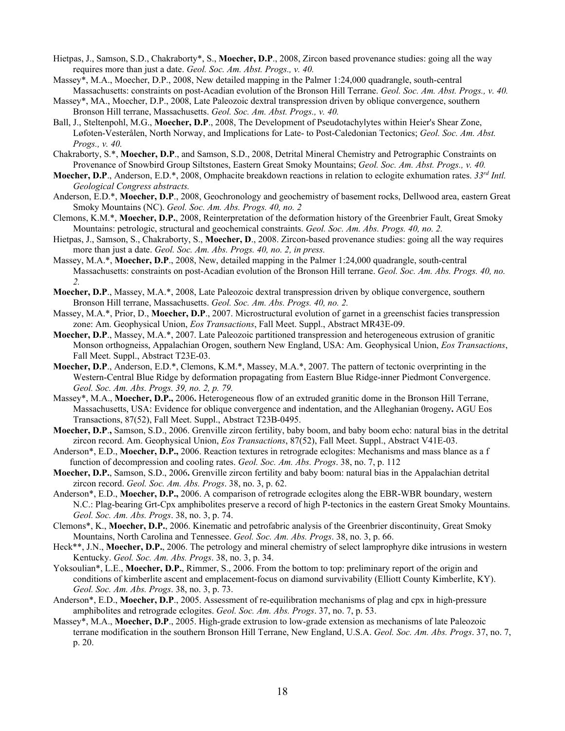- Hietpas, J., Samson, S.D., Chakraborty\*, S., **Moecher, D.P**., 2008, Zircon based provenance studies: going all the way requires more than just a date. *Geol. Soc. Am. Abst. Progs., v. 40.*
- Massey\*, M.A., Moecher, D.P., 2008, New detailed mapping in the Palmer 1:24,000 quadrangle, south-central Massachusetts: constraints on post-Acadian evolution of the Bronson Hill Terrane. *Geol. Soc. Am. Abst. Progs., v. 40.*
- Massey\*, MA., Moecher, D.P., 2008, Late Paleozoic dextral transpression driven by oblique convergence, southern Bronson Hill terrane, Massachusetts. *Geol. Soc. Am. Abst. Progs., v. 40.*
- Ball, J., Steltenpohl, M.G., **Moecher, D.P**., 2008, The Development of Pseudotachylytes within Heier's Shear Zone, Løfoten-Vesterålen, North Norway, and Implications for Late- to Post-Caledonian Tectonics; *Geol. Soc. Am. Abst. Progs., v. 40.*
- Chakraborty, S.\*, **Moecher, D.P**., and Samson, S.D., 2008, Detrital Mineral Chemistry and Petrographic Constraints on Provenance of Snowbird Group Siltstones, Eastern Great Smoky Mountains; *Geol. Soc. Am. Abst. Progs., v. 40.*
- **Moecher, D.P**., Anderson, E.D.\*, 2008, Omphacite breakdown reactions in relation to eclogite exhumation rates. *33rd Intl. Geological Congress abstracts.*
- Anderson, E.D.\*, **Moecher, D.P**., 2008, Geochronology and geochemistry of basement rocks, Dellwood area, eastern Great Smoky Mountains (NC). *Geol. Soc. Am. Abs. Progs. 40, no. 2*
- Clemons, K.M.\*, **Moecher, D.P.**, 2008, Reinterpretation of the deformation history of the Greenbrier Fault, Great Smoky Mountains: petrologic, structural and geochemical constraints. *Geol. Soc. Am. Abs. Progs. 40, no. 2.*
- Hietpas, J., Samson, S., Chakraborty, S., **Moecher, D**., 2008. Zircon-based provenance studies: going all the way requires more than just a date. *Geol. Soc. Am. Abs. Progs. 40, no. 2, in press.*
- Massey, M.A.\*, **Moecher, D.P**., 2008, New, detailed mapping in the Palmer 1:24,000 quadrangle, south-central Massachusetts: constraints on post-Acadian evolution of the Bronson Hill terrane. *Geol. Soc. Am. Abs. Progs. 40, no. 2.*
- **Moecher, D.P**., Massey, M.A.\*, 2008, Late Paleozoic dextral transpression driven by oblique convergence, southern Bronson Hill terrane, Massachusetts. *Geol. Soc. Am. Abs. Progs. 40, no. 2.*
- Massey, M.A.\*, Prior, D., **Moecher, D.P**., 2007. Microstructural evolution of garnet in a greenschist facies transpression zone: Am. Geophysical Union, *Eos Transactions*, Fall Meet. Suppl., Abstract MR43E-09.
- **Moecher, D.P**., Massey, M.A.\*, 2007. Late Paleozoic partitioned transpression and heterogeneous extrusion of granitic Monson orthogneiss, Appalachian Orogen, southern New England, USA: Am. Geophysical Union, *Eos Transactions*, Fall Meet. Suppl., Abstract T23E-03.
- **Moecher, D.P**., Anderson, E.D.\*, Clemons, K.M.\*, Massey, M.A.\*, 2007. The pattern of tectonic overprinting in the Western-Central Blue Ridge by deformation propagating from Eastern Blue Ridge-inner Piedmont Convergence. *Geol. Soc. Am. Abs. Progs. 39, no. 2, p. 79.*
- Massey\*, M.A., **Moecher, D.P.,** 2006**.** Heterogeneous flow of an extruded granitic dome in the Bronson Hill Terrane, Massachusetts, USA: Evidence for oblique convergence and indentation, and the Alleghanian 0rogeny**.** AGU Eos Transactions, 87(52), Fall Meet. Suppl., Abstract T23B-0495.
- **Moecher, D.P**.**,** Samson, S.D., 2006. Grenville zircon fertility, baby boom, and baby boom echo: natural bias in the detrital zircon record. Am. Geophysical Union, *Eos Transactions*, 87(52), Fall Meet. Suppl., Abstract V41E-03.
- Anderson\*, E.D., **Moecher, D.P.,** 2006. Reaction textures in retrograde eclogites: Mechanisms and mass blance as a f function of decompression and cooling rates. *Geol. Soc. Am. Abs. Progs*. 38, no. 7, p. 112
- **Moecher, D.P.**, Samson, S.D., 2006**.** Grenville zircon fertility and baby boom: natural bias in the Appalachian detrital zircon record. *Geol. Soc. Am. Abs. Progs*. 38, no. 3, p. 62.
- Anderson\*, E.D., **Moecher, D.P.,** 2006. A comparison of retrograde eclogites along the EBR-WBR boundary, western N.C.: Plag-bearing Grt-Cpx amphibolites preserve a record of high P-tectonics in the eastern Great Smoky Mountains. *Geol. Soc. Am. Abs. Progs*. 38, no. 3, p. 74.
- Clemons\*, K., **Moecher, D.P.**, 2006. Kinematic and petrofabric analysis of the Greenbrier discontinuity, Great Smoky Mountains, North Carolina and Tennessee. *Geol. Soc. Am. Abs. Progs*. 38, no. 3, p. 66.
- Heck\*\*, J.N., **Moecher, D.P.**, 2006. The petrology and mineral chemistry of select lamprophyre dike intrusions in western Kentucky. *Geol. Soc. Am. Abs. Progs*. 38, no. 3, p. 34.
- Yoksoulian\*, L.E., **Moecher, D.P.**, Rimmer, S., 2006. From the bottom to top: preliminary report of the origin and conditions of kimberlite ascent and emplacement-focus on diamond survivability (Elliott County Kimberlite, KY). *Geol. Soc. Am. Abs. Progs*. 38, no. 3, p. 73.
- Anderson\*, E.D., **Moecher, D.P**., 2005. Assessment of re-equilibration mechanisms of plag and cpx in high-pressure amphibolites and retrograde eclogites. *Geol. Soc. Am. Abs. Progs*. 37, no. 7, p. 53.
- Massey\*, M.A., **Moecher, D.P**., 2005. High-grade extrusion to low-grade extension as mechanisms of late Paleozoic terrane modification in the southern Bronson Hill Terrane, New England, U.S.A. *Geol. Soc. Am. Abs. Progs*. 37, no. 7, p. 20.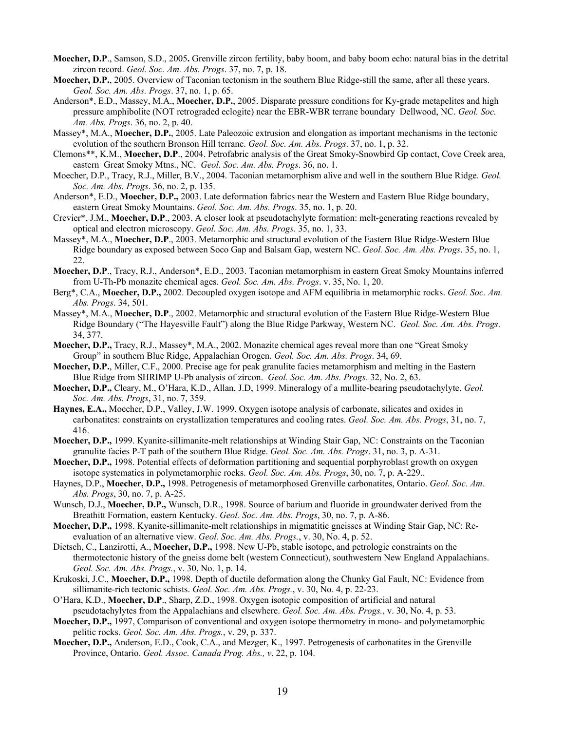- **Moecher, D.P**., Samson, S.D., 2005**.** Grenville zircon fertility, baby boom, and baby boom echo: natural bias in the detrital zircon record. *Geol. Soc. Am. Abs. Progs*. 37, no. 7, p. 18.
- **Moecher, D.P.**, 2005. Overview of Taconian tectonism in the southern Blue Ridge-still the same, after all these years. *Geol. Soc. Am. Abs. Progs*. 37, no. 1, p. 65.
- Anderson\*, E.D., Massey, M.A., **Moecher, D.P.**, 2005. Disparate pressure conditions for Ky-grade metapelites and high pressure amphibolite (NOT retrograded eclogite) near the EBR-WBR terrane boundary Dellwood, NC. *Geol. Soc. Am. Abs. Progs*. 36, no. 2, p. 40.
- Massey\*, M.A., **Moecher, D.P.**, 2005. Late Paleozoic extrusion and elongation as important mechanisms in the tectonic evolution of the southern Bronson Hill terrane. *Geol. Soc. Am. Abs. Progs*. 37, no. 1, p. 32.
- Clemons\*\*, K.M., **Moecher, D.P**., 2004. Petrofabric analysis of the Great Smoky-Snowbird Gp contact, Cove Creek area, eastern Great Smoky Mtns., NC. *Geol. Soc. Am. Abs. Progs*. 36, no. 1.
- Moecher, D.P., Tracy, R.J., Miller, B.V., 2004. Taconian metamorphism alive and well in the southern Blue Ridge. *Geol. Soc. Am. Abs. Progs*. 36, no. 2, p. 135.
- Anderson\*, E.D., **Moecher, D.P.,** 2003. Late deformation fabrics near the Western and Eastern Blue Ridge boundary, eastern Great Smoky Mountains. *Geol. Soc. Am. Abs. Progs*. 35, no. 1, p. 20.
- Crevier\*, J.M., **Moecher, D.P**., 2003. A closer look at pseudotachylyte formation: melt-generating reactions revealed by optical and electron microscopy. *Geol. Soc. Am. Abs. Progs*. 35, no. 1, 33.
- Massey\*, M.A., **Moecher, D.P**., 2003. Metamorphic and structural evolution of the Eastern Blue Ridge-Western Blue Ridge boundary as exposed between Soco Gap and Balsam Gap, western NC. *Geol. Soc. Am. Abs. Progs*. 35, no. 1, 22.
- **Moecher, D.P**., Tracy, R.J., Anderson\*, E.D., 2003. Taconian metamorphism in eastern Great Smoky Mountains inferred from U-Th-Pb monazite chemical ages. *Geol. Soc. Am. Abs. Progs*. v. 35, No. 1, 20.
- Berg\*, C.A., **Moecher, D.P.,** 2002. Decoupled oxygen isotope and AFM equilibria in metamorphic rocks. *Geol. Soc. Am. Abs. Progs*. 34, 501.
- Massey\*, M.A., **Moecher, D.P**., 2002. Metamorphic and structural evolution of the Eastern Blue Ridge-Western Blue Ridge Boundary ("The Hayesville Fault") along the Blue Ridge Parkway, Western NC. *Geol. Soc. Am. Abs. Progs*. 34, 377.
- **Moecher, D.P.,** Tracy, R.J., Massey\*, M.A., 2002. Monazite chemical ages reveal more than one "Great Smoky Group" in southern Blue Ridge, Appalachian Orogen. *Geol. Soc. Am. Abs. Progs*. 34, 69.
- **Moecher, D.P.**, Miller, C.F., 2000. Precise age for peak granulite facies metamorphism and melting in the Eastern Blue Ridge from SHRIMP U-Pb analysis of zircon. *Geol. Soc. Am. Abs. Progs*. 32, No. 2, 63.
- **Moecher, D.P.,** Cleary, M., O'Hara, K.D., Allan, J.D, 1999. Mineralogy of a mullite-bearing pseudotachylyte. *Geol. Soc. Am. Abs. Progs*, 31, no. 7, 359.
- **Haynes, E.A.,** Moecher, D.P., Valley, J.W. 1999. Oxygen isotope analysis of carbonate, silicates and oxides in carbonatites: constraints on crystallization temperatures and cooling rates. *Geol. Soc. Am. Abs. Progs*, 31, no. 7, 416.
- **Moecher, D.P.,** 1999. Kyanite-sillimanite-melt relationships at Winding Stair Gap, NC: Constraints on the Taconian granulite facies P-T path of the southern Blue Ridge. *Geol. Soc. Am. Abs. Progs*. 31, no. 3, p. A-31.
- **Moecher, D.P.,** 1998. Potential effects of deformation partitioning and sequential porphyroblast growth on oxygen isotope systematics in polymetamorphic rocks. *Geol. Soc. Am. Abs. Progs*, 30, no. 7, p. A-229..
- Haynes, D.P., **Moecher, D.P.,** 1998. Petrogenesis of metamorphosed Grenville carbonatites, Ontario. *Geol. Soc. Am. Abs. Progs*, 30, no. 7, p. A-25.
- Wunsch, D.J., **Moecher, D.P.,** Wunsch, D.R., 1998. Source of barium and fluoride in groundwater derived from the Breathitt Formation, eastern Kentucky. *Geol. Soc. Am. Abs. Progs*, 30, no. 7, p. A-86.
- **Moecher, D.P.,** 1998. Kyanite-sillimanite-melt relationships in migmatitic gneisses at Winding Stair Gap, NC: Reevaluation of an alternative view. *Geol. Soc. Am. Abs. Progs.*, v. 30, No. 4, p. 52.
- Dietsch, C., Lanzirotti, A., **Moecher, D.P.,** 1998. New U-Pb, stable isotope, and petrologic constraints on the thermotectonic history of the gneiss dome belt (western Connecticut), southwestern New England Appalachians. *Geol. Soc. Am. Abs. Progs.*, v. 30, No. 1, p. 14.
- Krukoski, J.C., **Moecher, D.P.,** 1998. Depth of ductile deformation along the Chunky Gal Fault, NC: Evidence from sillimanite-rich tectonic schists. *Geol. Soc. Am. Abs. Progs.*, v. 30, No. 4, p. 22-23.
- O'Hara, K.D., **Moecher, D.P**., Sharp, Z.D., 1998. Oxygen isotopic composition of artificial and natural pseudotachylytes from the Appalachians and elsewhere. *Geol. Soc. Am. Abs. Progs.*, v. 30, No. 4, p. 53.
- **Moecher, D.P.,** 1997, Comparison of conventional and oxygen isotope thermometry in mono- and polymetamorphic pelitic rocks. *Geol. Soc. Am. Abs. Progs.*, v. 29, p. 337.
- **Moecher, D.P.,** Anderson, E.D., Cook, C.A., and Mezger, K., 1997. Petrogenesis of carbonatites in the Grenville Province, Ontario. *Geol. Assoc. Canada Prog. Abs., v*. 22, p. 104.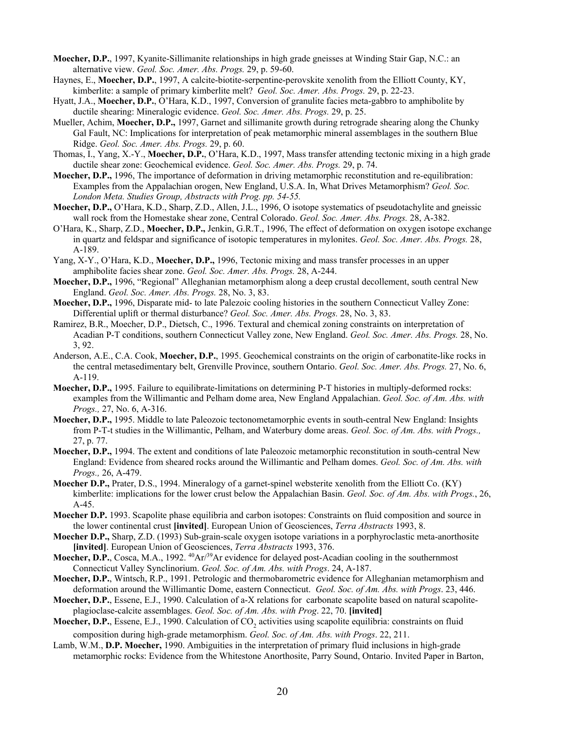- **Moecher, D.P.**, 1997, Kyanite-Sillimanite relationships in high grade gneisses at Winding Stair Gap, N.C.: an alternative view. *Geol. Soc. Amer. Abs. Progs.* 29, p. 59-60.
- Haynes, E., **Moecher, D.P.**, 1997, A calcite-biotite-serpentine-perovskite xenolith from the Elliott County, KY, kimberlite: a sample of primary kimberlite melt? *Geol. Soc. Amer. Abs. Progs.* 29, p. 22-23.
- Hyatt, J.A., **Moecher, D.P.**, O'Hara, K.D., 1997, Conversion of granulite facies meta-gabbro to amphibolite by ductile shearing: Mineralogic evidence. *Geol. Soc. Amer. Abs. Progs.* 29, p. 25.
- Mueller, Achim, **Moecher, D.P.,** 1997, Garnet and sillimanite growth during retrograde shearing along the Chunky Gal Fault, NC: Implications for interpretation of peak metamorphic mineral assemblages in the southern Blue Ridge. *Geol. Soc. Amer. Abs. Progs.* 29, p. 60.
- Thomas, I., Yang, X.-Y., **Moecher, D.P.**, O'Hara, K.D., 1997, Mass transfer attending tectonic mixing in a high grade ductile shear zone: Geochemical evidence. *Geol. Soc. Amer. Abs. Progs.* 29, p. 74.
- **Moecher, D.P.,** 1996, The importance of deformation in driving metamorphic reconstitution and re-equilibration: Examples from the Appalachian orogen, New England, U.S.A. In, What Drives Metamorphism? *Geol. Soc. London Meta. Studies Group, Abstracts with Prog. pp. 54-55.*
- **Moecher, D.P.,** O'Hara, K.D., Sharp, Z.D., Allen, J.L., 1996, O isotope systematics of pseudotachylite and gneissic wall rock from the Homestake shear zone, Central Colorado. *Geol. Soc. Amer. Abs. Progs.* 28, A-382.
- O'Hara, K., Sharp, Z.D., **Moecher, D.P.,** Jenkin, G.R.T., 1996, The effect of deformation on oxygen isotope exchange in quartz and feldspar and significance of isotopic temperatures in mylonites. *Geol. Soc. Amer. Abs. Progs.* 28, A-189.
- Yang, X-Y., O'Hara, K.D., **Moecher, D.P.,** 1996, Tectonic mixing and mass transfer processes in an upper amphibolite facies shear zone. *Geol. Soc. Amer. Abs. Progs.* 28, A-244.
- **Moecher, D.P.,** 1996, "Regional" Alleghanian metamorphism along a deep crustal decollement, south central New England. *Geol. Soc. Amer. Abs. Progs.* 28, No. 3, 83.
- **Moecher, D.P.,** 1996, Disparate mid- to late Palezoic cooling histories in the southern Connecticut Valley Zone: Differential uplift or thermal disturbance? *Geol. Soc. Amer. Abs. Progs.* 28, No. 3, 83.
- Ramirez, B.R., Moecher, D.P., Dietsch, C., 1996. Textural and chemical zoning constraints on interpretation of Acadian P-T conditions, southern Connecticut Valley zone, New England. *Geol. Soc. Amer. Abs. Progs.* 28, No. 3, 92.
- Anderson, A.E., C.A. Cook, **Moecher, D.P.**, 1995. Geochemical constraints on the origin of carbonatite-like rocks in the central metasedimentary belt, Grenville Province, southern Ontario. *Geol. Soc. Amer. Abs. Progs.* 27, No. 6, A-119.
- **Moecher, D.P.,** 1995. Failure to equilibrate-limitations on determining P-T histories in multiply-deformed rocks: examples from the Willimantic and Pelham dome area, New England Appalachian. *Geol. Soc. of Am. Abs. with Progs.,* 27, No. 6, A-316.
- **Moecher, D.P.,** 1995. Middle to late Paleozoic tectonometamorphic events in south-central New England: Insights from P-T-t studies in the Willimantic, Pelham, and Waterbury dome areas. *Geol. Soc. of Am. Abs. with Progs.,* 27, p. 77.
- **Moecher, D.P.,** 1994. The extent and conditions of late Paleozoic metamorphic reconstitution in south-central New England: Evidence from sheared rocks around the Willimantic and Pelham domes. *Geol. Soc. of Am. Abs. with Progs.,* 26, A-479.
- **Moecher D.P.,** Prater, D.S., 1994. Mineralogy of a garnet-spinel websterite xenolith from the Elliott Co. (KY) kimberlite: implications for the lower crust below the Appalachian Basin. *Geol. Soc. of Am. Abs. with Progs.*, 26, A-45.
- **Moecher D.P.** 1993. Scapolite phase equilibria and carbon isotopes: Constraints on fluid composition and source in the lower continental crust **[invited]**. European Union of Geosciences, *Terra Abstracts* 1993, 8.
- **Moecher D.P.,** Sharp, Z.D. (1993) Sub-grain-scale oxygen isotope variations in a porphyroclastic meta-anorthosite **[invited]**. European Union of Geosciences, *Terra Abstracts* 1993, 376.
- **Moecher, D.P.**, Cosca, M.A., 1992.  $^{40}Ar^{39}Ar$  evidence for delayed post-Acadian cooling in the southernmost Connecticut Valley Synclinorium. *Geol. Soc. of Am. Abs. with Progs*. 24, A-187.
- **Moecher, D.P.**, Wintsch, R.P., 1991. Petrologic and thermobarometric evidence for Alleghanian metamorphism and deformation around the Willimantic Dome, eastern Connecticut. *Geol. Soc. of Am. Abs. with Progs*. 23, 446.
- **Moecher, D.P.**, Essene, E.J., 1990. Calculation of a-X relations for carbonate scapolite based on natural scapoliteplagioclase-calcite assemblages. *Geol. Soc. of Am. Abs. with Prog*. 22, 70. **[invited]**
- **Moecher, D.P.**, Essene, E.J., 1990. Calculation of CO<sub>2</sub> activities using scapolite equilibria: constraints on fluid composition during high-grade metamorphism. *Geol. Soc. of Am. Abs. with Progs*. 22, 211.
- Lamb, W.M., **D.P. Moecher,** 1990. Ambiguities in the interpretation of primary fluid inclusions in high-grade metamorphic rocks: Evidence from the Whitestone Anorthosite, Parry Sound, Ontario. Invited Paper in Barton,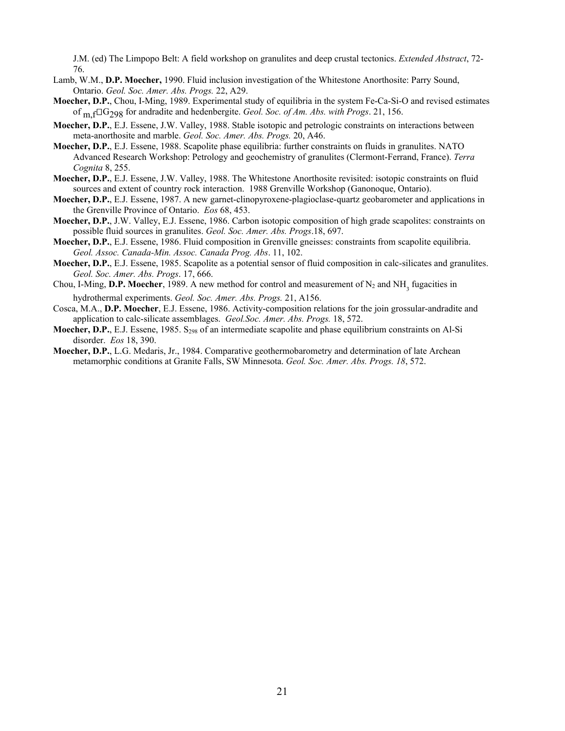J.M. (ed) The Limpopo Belt: A field workshop on granulites and deep crustal tectonics. *Extended Abstract*, 72- 76.

- Lamb, W.M., **D.P. Moecher,** 1990. Fluid inclusion investigation of the Whitestone Anorthosite: Parry Sound, Ontario. *Geol. Soc. Amer. Abs. Progs.* 22, A29.
- **Moecher, D.P.**, Chou, I-Ming, 1989. Experimental study of equilibria in the system Fe-Ca-Si-O and revised estimates of m,fG298 for andradite and hedenbergite. *Geol. Soc. of Am. Abs. with Progs*. 21, 156.
- **Moecher, D.P.**, E.J. Essene, J.W. Valley, 1988. Stable isotopic and petrologic constraints on interactions between meta-anorthosite and marble. *Geol. Soc. Amer. Abs. Progs.* 20, A46.
- **Moecher, D.P.**, E.J. Essene, 1988. Scapolite phase equilibria: further constraints on fluids in granulites. NATO Advanced Research Workshop: Petrology and geochemistry of granulites (Clermont-Ferrand, France). *Terra Cognita* 8, 255.
- **Moecher, D.P.**, E.J. Essene, J.W. Valley, 1988. The Whitestone Anorthosite revisited: isotopic constraints on fluid sources and extent of country rock interaction. 1988 Grenville Workshop (Ganonoque, Ontario).
- **Moecher, D.P.**, E.J. Essene, 1987. A new garnet-clinopyroxene-plagioclase-quartz geobarometer and applications in the Grenville Province of Ontario. *Eos* 68, 453.
- **Moecher, D.P.**, J.W. Valley, E.J. Essene, 1986. Carbon isotopic composition of high grade scapolites: constraints on possible fluid sources in granulites. *Geol. Soc. Amer. Abs. Progs*.18, 697.
- **Moecher, D.P.**, E.J. Essene, 1986. Fluid composition in Grenville gneisses: constraints from scapolite equilibria. *Geol. Assoc. Canada-Min. Assoc. Canada Prog. Abs*. 11, 102.
- **Moecher, D.P.**, E.J. Essene, 1985. Scapolite as a potential sensor of fluid composition in calc-silicates and granulites. *Geol. Soc. Amer. Abs. Progs*. 17, 666.
- Chou, I-Ming, D.P. Moecher, 1989. A new method for control and measurement of  $N_2$  and  $NH<sub>3</sub>$  fugacities in hydrothermal experiments. *Geol. Soc. Amer. Abs. Progs.* 21, A156.
- Cosca, M.A., **D.P. Moecher**, E.J. Essene, 1986. Activity-composition relations for the join grossular-andradite and application to calc-silicate assemblages. *Geol.Soc. Amer. Abs. Progs.* 18, 572.
- **Moecher, D.P.**, E.J. Essene, 1985. S<sub>298</sub> of an intermediate scapolite and phase equilibrium constraints on Al-Si disorder. *Eos* 18, 390.
- **Moecher, D.P.**, L.G. Medaris, Jr., 1984. Comparative geothermobarometry and determination of late Archean metamorphic conditions at Granite Falls, SW Minnesota. *Geol. Soc. Amer. Abs. Progs. 18*, 572.